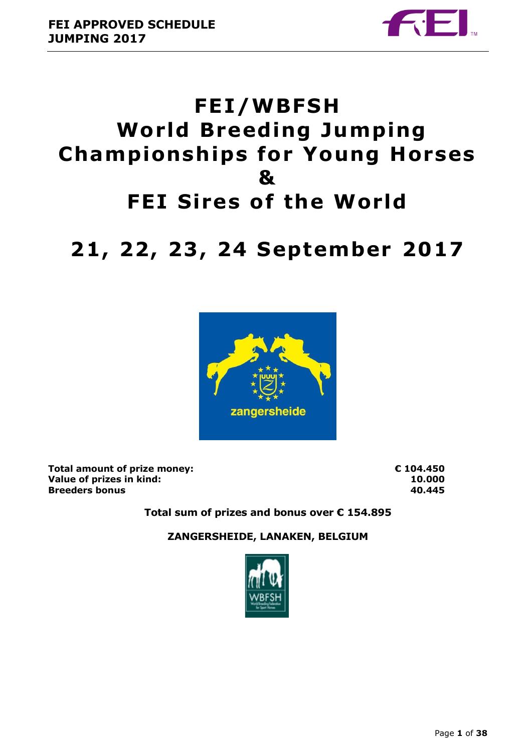

# **FEI/WBFSH World Breeding Jumping Championships for Young Horses & FEI Sires of the World**

# **21 , 22 , 23 , 24 September 2017**



**Total amount of prize money: € 104.450 Value of prizes in kind: 10.000 Breeders bonus 40.445**

**Total sum of prizes and bonus over € 154.895**

**ZANGERSHEIDE, LANAKEN, BELGIUM**

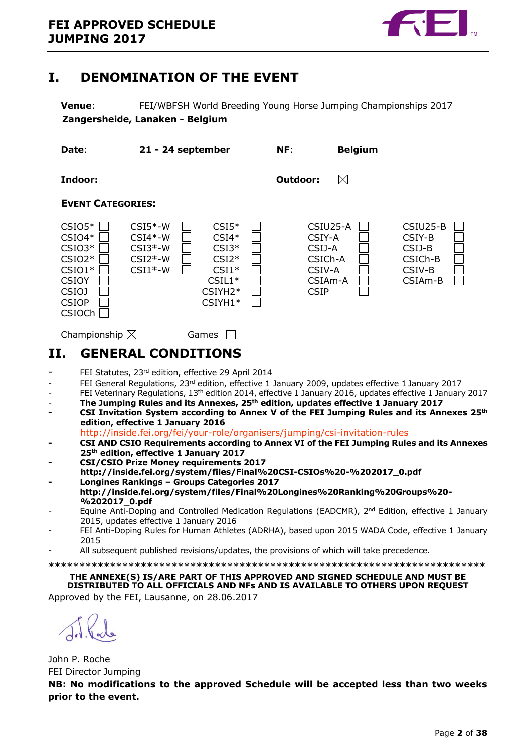

### <span id="page-1-0"></span>**I. DENOMINATION OF THE EVENT**

**Venue**: FEI/WBFSH World Breeding Young Horse Jumping Championships 2017 **Zangersheide, Lanaken - Belgium**

| Date:                                                                                                              | 21 - 24 september                                             |                                                                                           | NF:                                                                         | <b>Belgium</b> |                                                                           |
|--------------------------------------------------------------------------------------------------------------------|---------------------------------------------------------------|-------------------------------------------------------------------------------------------|-----------------------------------------------------------------------------|----------------|---------------------------------------------------------------------------|
| Indoor:                                                                                                            |                                                               |                                                                                           | Outdoor:                                                                    | $\boxtimes$    |                                                                           |
| <b>EVENT CATEGORIES:</b>                                                                                           |                                                               |                                                                                           |                                                                             |                |                                                                           |
| $CSIO5*$<br>$CSIO4*$<br>$CSIO3*$<br>$CSIO2*$<br>$CSIO1*$<br><b>CSIOY</b><br><b>CSIOJ</b><br><b>CSIOP</b><br>CSIOCh | $CSI5*-W$<br>$CSI4*-W$<br>$CSI3*-W$<br>$CSI2*-W$<br>$CSI1*-W$ | $CSI5*$<br>$CSI4*$<br>$CSI3*$<br>$CSI2*$<br>$CSI1*$<br>$CSIL1*$<br>$CSIYH2*$<br>$CSIYH1*$ | CSIU25-A<br>CSIY-A<br>CSIJ-A<br>CSICh-A<br>CSIV-A<br>CSIAm-A<br><b>CSIP</b> |                | CSIU25-B<br>CSIY-B<br>CSIJ-B<br>CSICh-B<br>CSIV-B<br>CSIA <sub>m</sub> -B |

Championship  $\boxtimes$  Games  $\Box$ 

## <span id="page-1-1"></span>**II. GENERAL CONDITIONS**

- FEI Statutes, 23rd edition, effective 29 April 2014
- FEI General Regulations, 23<sup>rd</sup> edition, effective 1 January 2009, updates effective 1 January 2017
- FEI Veterinary Regulations, 13<sup>th</sup> edition 2014, effective 1 January 2016, updates effective 1 January 2017
- **The Jumping Rules and its Annexes, 25th edition, updates effective 1 January 2017**
- **- CSI Invitation System according to Annex V of the FEI Jumping Rules and its Annexes 25th edition, effective 1 January 2016**

<http://inside.fei.org/fei/your-role/organisers/jumping/csi-invitation-rules>

- **- CSI AND CSIO Requirements according to Annex VI of the FEI Jumping Rules and its Annexes 25th edition, effective 1 January 2017**
- **- CSI/CSIO Prize Money requirements 2017**
- **http://inside.fei.org/system/files/Final%20CSI-CSIOs%20-%202017\_0.pdf - Longines Rankings – Groups Categories 2017**
- **http://inside.fei.org/system/files/Final%20Longines%20Ranking%20Groups%20- %202017\_0.pdf**
- Equine Anti-Doping and Controlled Medication Regulations (EADCMR), 2<sup>nd</sup> Edition, effective 1 January 2015, updates effective 1 January 2016
- FEI Anti-Doping Rules for Human Athletes (ADRHA), based upon 2015 WADA Code, effective 1 January 2015
- All subsequent published revisions/updates, the provisions of which will take precedence.
- \*\*\*\*\*\*\*\*\*\*\*\*\*\*\*\*\*\*\*\*\*\*\*\*\*\*\*\*\*\*\*\*\*\*\*\*\*\*\*\*\*\*\*\*\*\*\*\*\*\*\*\*\*\*\*\*\*\*\*\*\*\*\*\*\*\*\*\*\*\*\*

#### **THE ANNEXE(S) IS/ARE PART OF THIS APPROVED AND SIGNED SCHEDULE AND MUST BE DISTRIBUTED TO ALL OFFICIALS AND NFs AND IS AVAILABLE TO OTHERS UPON REQUEST** Approved by the FEI, Lausanne, on 28.06.2017

John P. Roche FEI Director Jumping

**NB: No modifications to the approved Schedule will be accepted less than two weeks prior to the event.**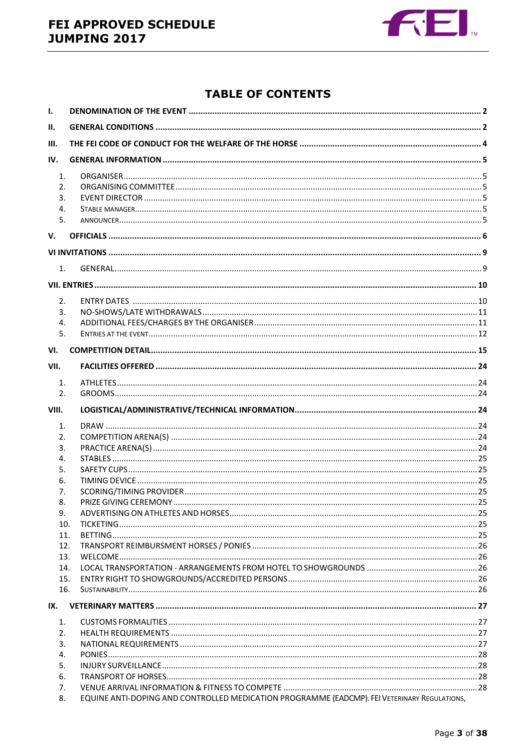

### **TABLE OF CONTENTS**

| ı.         |                                                                                              |  |  |  |  |
|------------|----------------------------------------------------------------------------------------------|--|--|--|--|
| II.        |                                                                                              |  |  |  |  |
| III.       |                                                                                              |  |  |  |  |
| IV.        |                                                                                              |  |  |  |  |
| 1.         |                                                                                              |  |  |  |  |
| 2.         |                                                                                              |  |  |  |  |
| 3.         |                                                                                              |  |  |  |  |
| 4.         |                                                                                              |  |  |  |  |
| 5.         |                                                                                              |  |  |  |  |
| V.         |                                                                                              |  |  |  |  |
|            |                                                                                              |  |  |  |  |
| 1.         |                                                                                              |  |  |  |  |
|            |                                                                                              |  |  |  |  |
|            |                                                                                              |  |  |  |  |
| 2.<br>3.   |                                                                                              |  |  |  |  |
| 4.         |                                                                                              |  |  |  |  |
| 5.         |                                                                                              |  |  |  |  |
| VI.        |                                                                                              |  |  |  |  |
| VII.       |                                                                                              |  |  |  |  |
|            |                                                                                              |  |  |  |  |
| 1.<br>2.   |                                                                                              |  |  |  |  |
|            |                                                                                              |  |  |  |  |
| VIII.      |                                                                                              |  |  |  |  |
| 1.         |                                                                                              |  |  |  |  |
| 2.         |                                                                                              |  |  |  |  |
| 3.         |                                                                                              |  |  |  |  |
| 4.         |                                                                                              |  |  |  |  |
| 5.         |                                                                                              |  |  |  |  |
| 6.         |                                                                                              |  |  |  |  |
| 7.         |                                                                                              |  |  |  |  |
| 8.         |                                                                                              |  |  |  |  |
| 9.         |                                                                                              |  |  |  |  |
| 10.        |                                                                                              |  |  |  |  |
| 11.<br>12. |                                                                                              |  |  |  |  |
| 13.        |                                                                                              |  |  |  |  |
| 14.        |                                                                                              |  |  |  |  |
| 15.        |                                                                                              |  |  |  |  |
| 16.        |                                                                                              |  |  |  |  |
| IX.        |                                                                                              |  |  |  |  |
| 1.         |                                                                                              |  |  |  |  |
| 2.         |                                                                                              |  |  |  |  |
| 3.         |                                                                                              |  |  |  |  |
| 4.         |                                                                                              |  |  |  |  |
| 5.         |                                                                                              |  |  |  |  |
| 6.         |                                                                                              |  |  |  |  |
| 7.         |                                                                                              |  |  |  |  |
| 8.         | EQUINE ANTI-DOPING AND CONTROLLED MEDICATION PROGRAMME (EADCMP). FEI VETERINARY REGULATIONS, |  |  |  |  |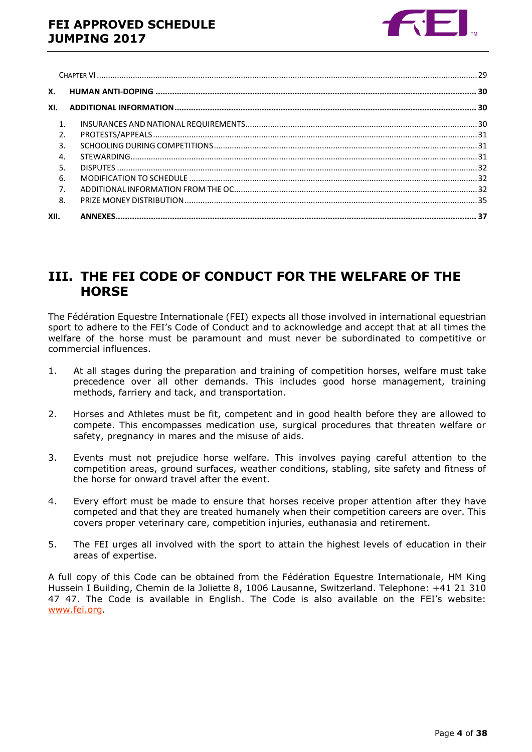

| <b>X.</b>      |  |
|----------------|--|
| XI.            |  |
| 1.             |  |
| $\overline{2}$ |  |
| 3.             |  |
| $\overline{4}$ |  |
| 5.             |  |
| 6.             |  |
| 7.             |  |
| 8.             |  |
| XII.           |  |

### <span id="page-3-0"></span>**III. THE FEI CODE OF CONDUCT FOR THE WELFARE OF THE HORSE**

The Fédération Equestre Internationale (FEI) expects all those involved in international equestrian sport to adhere to the FEI's Code of Conduct and to acknowledge and accept that at all times the welfare of the horse must be paramount and must never be subordinated to competitive or commercial influences.

- 1. At all stages during the preparation and training of competition horses, welfare must take precedence over all other demands. This includes good horse management, training methods, farriery and tack, and transportation.
- 2. Horses and Athletes must be fit, competent and in good health before they are allowed to compete. This encompasses medication use, surgical procedures that threaten welfare or safety, pregnancy in mares and the misuse of aids.
- 3. Events must not prejudice horse welfare. This involves paying careful attention to the competition areas, ground surfaces, weather conditions, stabling, site safety and fitness of the horse for onward travel after the event.
- 4. Every effort must be made to ensure that horses receive proper attention after they have competed and that they are treated humanely when their competition careers are over. This covers proper veterinary care, competition injuries, euthanasia and retirement.
- 5. The FEI urges all involved with the sport to attain the highest levels of education in their areas of expertise.

A full copy of this Code can be obtained from the Fédération Equestre Internationale, HM King Hussein I Building, Chemin de la Joliette 8, 1006 Lausanne, Switzerland. Telephone: +41 21 310 47 47. The Code is available in English. The Code is also available on the FEI's website: [www.fei.org.](http://www.fei.org/)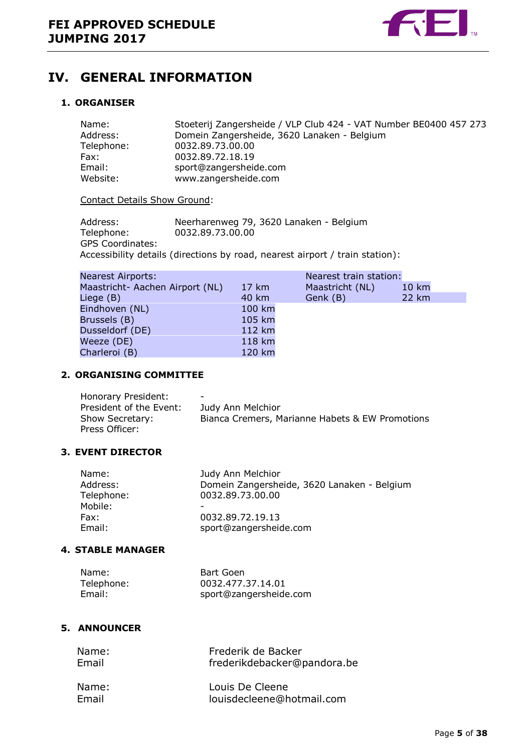

## <span id="page-4-0"></span>**IV. GENERAL INFORMATION**

#### <span id="page-4-1"></span>**1. ORGANISER**

| Name:      | Stoeterij Zangersheide / VLP Club 424 - VAT Number BE0400 457 273 |
|------------|-------------------------------------------------------------------|
| Address:   | Domein Zangersheide, 3620 Lanaken - Belgium                       |
| Telephone: | 0032.89.73.00.00                                                  |
| Fax:       | 0032.89.72.18.19                                                  |
| Email:     | sport@zangersheide.com                                            |
| Website:   | www.zangersheide.com                                              |

Contact Details Show Ground:

| Address:                | Neerharenweg 79, 3620 Lanaken - Belgium                                      |
|-------------------------|------------------------------------------------------------------------------|
| Telephone:              | 0032.89.73.00.00                                                             |
| <b>GPS Coordinates:</b> |                                                                              |
|                         | Accessibility details (directions by road, nearest airport / train station): |

| <b>Nearest Airports:</b>        |                 | Nearest train station: |       |
|---------------------------------|-----------------|------------------------|-------|
| Maastricht- Aachen Airport (NL) | $17 \text{ km}$ | Maastricht (NL)        | 10 km |
| Liege (B)                       | 40 km           | Genk (B)               | 22 km |
| Eindhoven (NL)                  | 100 km          |                        |       |
| Brussels (B)                    | 105 km          |                        |       |
| Dusseldorf (DE)                 | 112 km          |                        |       |
| Weeze (DE)                      | 118 km          |                        |       |
| Charleroi (B)                   | 120 km          |                        |       |

#### <span id="page-4-2"></span>**2. ORGANISING COMMITTEE**

| Honorary President:     | -                                               |
|-------------------------|-------------------------------------------------|
| President of the Event: | Judy Ann Melchior                               |
| Show Secretary:         | Bianca Cremers, Marianne Habets & EW Promotions |
| Press Officer:          |                                                 |

#### <span id="page-4-3"></span>**3. EVENT DIRECTOR**

| Name:<br>Address:<br>Telephone: | Judy Ann Melchior<br>Domein Zangersheide, 3620 Lanaken - Belgium<br>0032.89.73.00.00 |
|---------------------------------|--------------------------------------------------------------------------------------|
| Mobile:                         |                                                                                      |
| Fax:                            | 0032.89.72.19.13                                                                     |
| Email:                          | sport@zangersheide.com                                                               |

#### <span id="page-4-4"></span>**4. STABLE MANAGER**

| Name:      | Bart Goen              |
|------------|------------------------|
| Telephone: | 0032.477.37.14.01      |
| Email:     | sport@zangersheide.com |

#### <span id="page-4-5"></span>**5. ANNOUNCER**

| Name: | Frederik de Backer          |
|-------|-----------------------------|
| Email | frederikdebacker@pandora.be |
| Name: | Louis De Cleene             |
| Email | louisdecleene@hotmail.com   |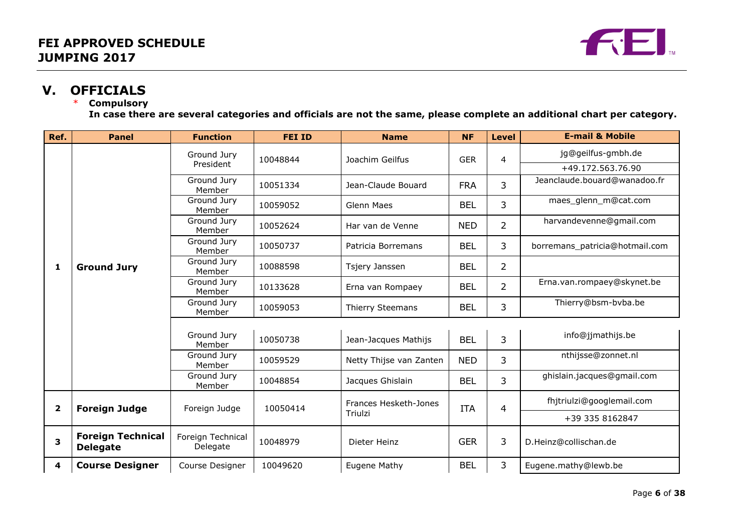

# **V. OFFICIALS**

#### **Compulsory**

**In case there are several categories and officials are not the same, please complete an additional chart per category.**

<span id="page-5-0"></span>

| Ref.                    | <b>Panel</b>                                | <b>Function</b>               | <b>FEI ID</b>             | <b>Name</b>                      | <b>NF</b>  | <b>Level</b>   | <b>E-mail &amp; Mobile</b>     |
|-------------------------|---------------------------------------------|-------------------------------|---------------------------|----------------------------------|------------|----------------|--------------------------------|
|                         |                                             | Ground Jury                   | 10048844                  | Joachim Geilfus                  | <b>GER</b> | 4              | jg@geilfus-gmbh.de             |
|                         |                                             | President                     |                           |                                  |            |                | +49.172.563.76.90              |
|                         |                                             | Ground Jury<br>Member         | 10051334                  | Jean-Claude Bouard               | <b>FRA</b> | 3              | Jeanclaude.bouard@wanadoo.fr   |
|                         |                                             | Ground Jury<br>Member         | 10059052                  | Glenn Maes                       | <b>BEL</b> | 3              | maes_glenn_m@cat.com           |
|                         |                                             | Ground Jury<br>Member         | 10052624                  | Har van de Venne                 | <b>NED</b> | $\overline{2}$ | harvandevenne@gmail.com        |
|                         |                                             | Ground Jury<br>Member         | 10050737                  | Patricia Borremans               | <b>BEL</b> | 3              | borremans_patricia@hotmail.com |
| 1                       | <b>Ground Jury</b>                          | Ground Jury<br>Member         | 10088598                  | Tsjery Janssen                   | <b>BEL</b> | $\overline{2}$ |                                |
|                         |                                             | Ground Jury<br>Member         | 10133628                  | Erna van Rompaey                 | <b>BEL</b> | $\overline{2}$ | Erna.van.rompaey@skynet.be     |
|                         |                                             | Ground Jury<br>Member         | 10059053                  | Thierry Steemans                 | <b>BEL</b> | 3              | Thierry@bsm-bvba.be            |
|                         |                                             |                               |                           |                                  |            |                |                                |
|                         |                                             | Ground Jury<br>Member         | 10050738                  | Jean-Jacques Mathijs             | <b>BEL</b> | 3              | info@jjmathijs.be              |
|                         |                                             | Ground Jury<br>Member         | 10059529                  | Netty Thijse van Zanten          | <b>NED</b> | 3              | nthijsse@zonnet.nl             |
|                         |                                             | Ground Jury<br>Member         | 10048854                  | Jacques Ghislain                 | <b>BEL</b> | 3              | ghislain.jacques@gmail.com     |
| $\overline{\mathbf{2}}$ | <b>Foreign Judge</b>                        |                               | Foreign Judge<br>10050414 | Frances Hesketh-Jones<br>Triulzi | <b>ITA</b> | 4              | fhjtriulzi@googlemail.com      |
|                         |                                             |                               |                           |                                  |            |                | +39 335 8162847                |
| 3                       | <b>Foreign Technical</b><br><b>Delegate</b> | Foreign Technical<br>Delegate | 10048979                  | Dieter Heinz                     | <b>GER</b> | 3              | D.Heinz@collischan.de          |
| 4                       | <b>Course Designer</b>                      | Course Designer               | 10049620                  | Eugene Mathy                     | <b>BEL</b> | 3              | Eugene.mathy@lewb.be           |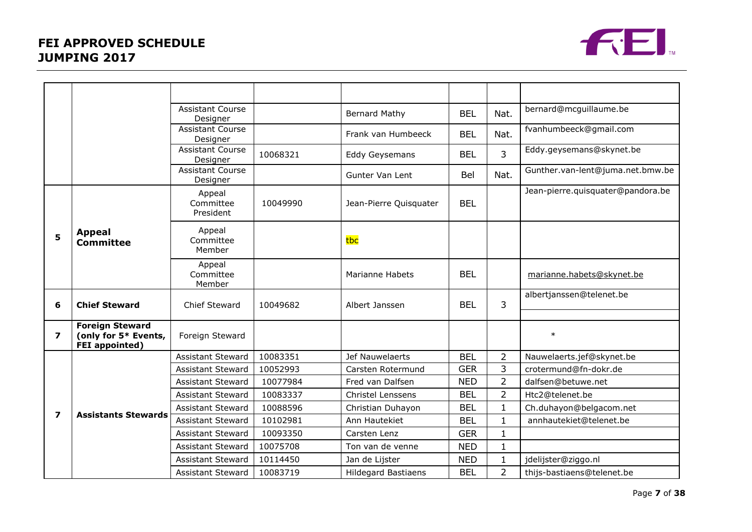

|                         |                                                                         | <b>Assistant Course</b><br>Designer |          | <b>Bernard Mathy</b>       | <b>BEL</b> | Nat.           | bernard@mcguillaume.be            |
|-------------------------|-------------------------------------------------------------------------|-------------------------------------|----------|----------------------------|------------|----------------|-----------------------------------|
|                         |                                                                         | <b>Assistant Course</b><br>Designer |          | Frank van Humbeeck         | <b>BEL</b> | Nat.           | fvanhumbeeck@gmail.com            |
|                         |                                                                         | <b>Assistant Course</b><br>Designer | 10068321 | Eddy Geysemans             | <b>BEL</b> | 3              | Eddy.geysemans@skynet.be          |
|                         |                                                                         | <b>Assistant Course</b><br>Designer |          | Gunter Van Lent            | Bel        | Nat.           | Gunther.van-lent@juma.net.bmw.be  |
|                         |                                                                         | Appeal<br>Committee<br>President    | 10049990 | Jean-Pierre Quisquater     | <b>BEL</b> |                | Jean-pierre.quisquater@pandora.be |
| 5                       | <b>Appeal</b><br><b>Committee</b>                                       | Appeal<br>Committee<br>Member       |          | tbc                        |            |                |                                   |
|                         |                                                                         | Appeal<br>Committee<br>Member       |          | <b>Marianne Habets</b>     | <b>BEL</b> |                | marianne.habets@skynet.be         |
| 6                       | <b>Chief Steward</b>                                                    | Chief Steward                       | 10049682 | Albert Janssen             | <b>BEL</b> | 3              | albertjanssen@telenet.be          |
| $\overline{\mathbf{z}}$ | <b>Foreign Steward</b><br>(only for 5* Events,<br><b>FEI</b> appointed) | Foreign Steward                     |          |                            |            |                | $\ast$                            |
|                         |                                                                         | <b>Assistant Steward</b>            | 10083351 | Jef Nauwelaerts            | <b>BEL</b> | $\overline{2}$ | Nauwelaerts.jef@skynet.be         |
|                         |                                                                         | <b>Assistant Steward</b>            | 10052993 | Carsten Rotermund          | <b>GER</b> | 3              | crotermund@fn-dokr.de             |
|                         |                                                                         | <b>Assistant Steward</b>            | 10077984 | Fred van Dalfsen           | <b>NED</b> | $\overline{2}$ | dalfsen@betuwe.net                |
|                         |                                                                         | <b>Assistant Steward</b>            | 10083337 | <b>Christel Lenssens</b>   | <b>BEL</b> | $\overline{2}$ | Htc2@telenet.be                   |
|                         |                                                                         | <b>Assistant Steward</b>            | 10088596 | Christian Duhayon          | <b>BEL</b> | $\mathbf{1}$   | Ch.duhayon@belgacom.net           |
| $\overline{\mathbf{z}}$ | <b>Assistants Stewards</b>                                              | <b>Assistant Steward</b>            | 10102981 | Ann Hautekiet              | <b>BEL</b> | $\mathbf{1}$   | annhautekiet@telenet.be           |
|                         |                                                                         | <b>Assistant Steward</b>            | 10093350 | Carsten Lenz               | <b>GER</b> | 1              |                                   |
|                         |                                                                         | <b>Assistant Steward</b>            | 10075708 | Ton van de venne           | <b>NED</b> | $\mathbf{1}$   |                                   |
|                         |                                                                         | <b>Assistant Steward</b>            | 10114450 | Jan de Lijster             | <b>NED</b> | $\mathbf{1}$   | jdelijster@ziggo.nl               |
|                         |                                                                         | <b>Assistant Steward</b>            | 10083719 | <b>Hildegard Bastiaens</b> | <b>BEL</b> | $\overline{2}$ | thijs-bastiaens@telenet.be        |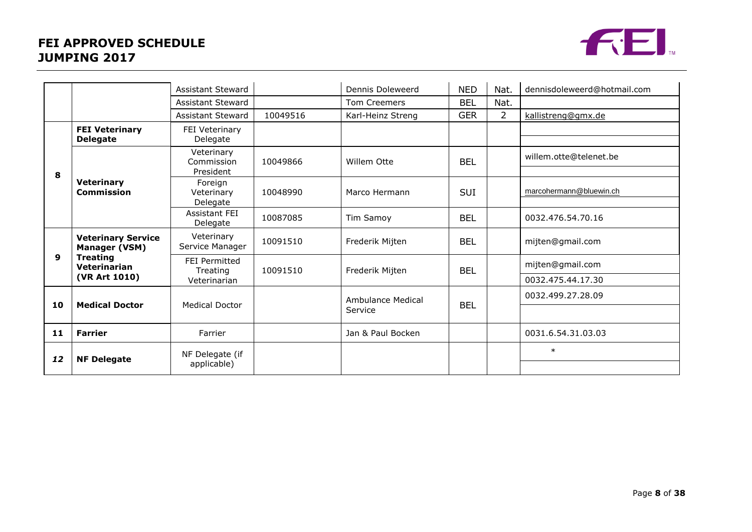### **FEI APPROVED SCHEDULE JUMPING 2017**



|    |                                                                               | <b>Assistant Steward</b>              |          | Dennis Doleweerd  | <b>NED</b> | Nat.              | dennisdoleweerd@hotmail.com |
|----|-------------------------------------------------------------------------------|---------------------------------------|----------|-------------------|------------|-------------------|-----------------------------|
|    |                                                                               | <b>Assistant Steward</b>              |          | Tom Creemers      | <b>BEL</b> | Nat.              |                             |
|    |                                                                               | <b>Assistant Steward</b>              | 10049516 | Karl-Heinz Streng | <b>GER</b> | $\overline{2}$    | kallistreng@gmx.de          |
| 8  | <b>FEI Veterinary</b><br><b>Delegate</b>                                      | FEI Veterinary<br>Delegate            |          |                   |            |                   |                             |
|    | <b>Veterinary</b><br><b>Commission</b>                                        | Veterinary<br>Commission<br>President | 10049866 | Willem Otte       | <b>BEL</b> |                   | willem.otte@telenet.be      |
|    |                                                                               | Foreign<br>Veterinary<br>Delegate     | 10048990 | Marco Hermann     | <b>SUI</b> |                   | marcohermann@bluewin.ch     |
|    |                                                                               | <b>Assistant FFI</b><br>Delegate      | 10087085 | Tim Samoy         | <b>BEL</b> |                   | 0032.476.54.70.16           |
| 9  | <b>Veterinary Service</b><br>Manager (VSM)<br><b>Treating</b><br>Veterinarian | Veterinary<br>Service Manager         | 10091510 | Frederik Mijten   | <b>BEL</b> |                   | mijten@gmail.com            |
|    |                                                                               | FEI Permitted<br>Treating             | 10091510 | Frederik Mijten   | <b>BEL</b> |                   | mijten@gmail.com            |
|    | (VR Art 1010)                                                                 | Veterinarian                          |          |                   |            | 0032.475.44.17.30 |                             |
| 10 | <b>Medical Doctor</b>                                                         | <b>Medical Doctor</b>                 |          | Ambulance Medical | <b>BEL</b> |                   | 0032.499.27.28.09           |
|    |                                                                               |                                       |          | Service           |            |                   |                             |
| 11 | <b>Farrier</b>                                                                | Farrier                               |          | Jan & Paul Bocken |            |                   | 0031.6.54.31.03.03          |
| 12 | <b>NF Delegate</b>                                                            | NF Delegate (if<br>applicable)        |          |                   |            |                   | $\ast$                      |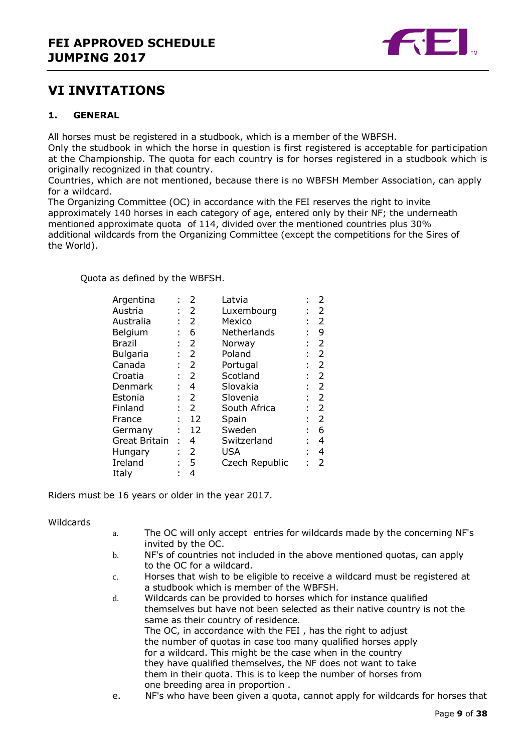

### <span id="page-8-0"></span>**VI INVITATIONS**

#### <span id="page-8-1"></span>**1. GENERAL**

All horses must be registered in a studbook, which is a member of the WBFSH.

Only the studbook in which the horse in question is first registered is acceptable for participation at the Championship. The quota for each country is for horses registered in a studbook which is originally recognized in that country.

Countries, which are not mentioned, because there is no WBFSH Member Association, can apply for a wildcard.

The Organizing Committee (OC) in accordance with the FEI reserves the right to invite approximately 140 horses in each category of age, entered only by their NF; the underneath mentioned approximate quota of 114, divided over the mentioned countries plus 30% additional wildcards from the Organizing Committee (except the competitions for the Sires of the World).

Quota as defined by the WBFSH.

| Argentina     |   | 2              | Latvia         | ٠ | 2 |
|---------------|---|----------------|----------------|---|---|
| Austria       |   | $\overline{2}$ | Luxembourg     |   | 2 |
| Australia     | ÷ | 2              | Mexico         |   | 2 |
| Belgium       |   | 6              | Netherlands    |   | 9 |
| Brazil        |   | 2              | Norway         |   | 2 |
| Bulgaria      |   | 2              | Poland         |   | 2 |
| Canada        | ÷ | 2              | Portugal       |   | 2 |
| Croatia       | t | 2              | Scotland       | ÷ | 2 |
| Denmark       |   | 4              | Slovakia       |   | 2 |
| Estonia       |   | 2              | Slovenia       |   | 2 |
| Finland       |   | $\overline{2}$ | South Africa   |   | 2 |
| France        | t | 12             | Spain          |   | 2 |
| Germany       | İ | 12             | Sweden         |   | 6 |
| Great Britain | t | 4              | Switzerland    | t | 4 |
| Hungary       | t | 2              | USA            |   | 4 |
| Ireland       | ٠ | 5              | Czech Republic |   | 2 |
| Italy         |   | 4              |                |   |   |

Riders must be 16 years or older in the year 2017.

Wildcards

- a. The OC will only accept entries for wildcards made by the concerning NF's invited by the OC.
- b. NF's of countries not included in the above mentioned quotas, can apply to the OC for a wildcard.
- c. Horses that wish to be eligible to receive a wildcard must be registered at a studbook which is member of the WBFSH.
- d. Wildcards can be provided to horses which for instance qualified themselves but have not been selected as their native country is not the same as their country of residence. The OC, in accordance with the FEI , has the right to adjust the number of quotas in case too many qualified horses apply for a wildcard. This might be the case when in the country they have qualified themselves, the NF does not want to take them in their quota. This is to keep the number of horses from one breeding area in proportion .
- e. NF's who have been given a quota, cannot apply for wildcards for horses that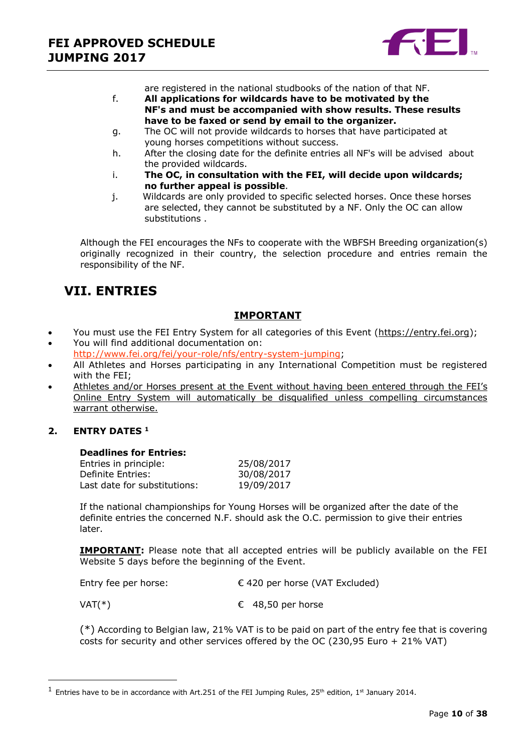

are registered in the national studbooks of the nation of that NF.

- f. **All applications for wildcards have to be motivated by the NF's and must be accompanied with show results. These results have to be faxed or send by email to the organizer.**
- g. The OC will not provide wildcards to horses that have participated at young horses competitions without success.
- h. After the closing date for the definite entries all NF's will be advised about the provided wildcards.
- i. **The OC, in consultation with the FEI, will decide upon wildcards; no further appeal is possible**.
- j. Wildcards are only provided to specific selected horses. Once these horses are selected, they cannot be substituted by a NF. Only the OC can allow substitutions .

Although the FEI encourages the NFs to cooperate with the WBFSH Breeding organization(s) originally recognized in their country, the selection procedure and entries remain the responsibility of the NF.

## <span id="page-9-0"></span>**VII. ENTRIES**

### **IMPORTANT**

- \* You must use the FEI Entry System for all categories of this Event [\(https://entry.fei.org\)](https://entry.fei.org/);
- You will find additional documentation on: [http://www.fei.org/fei/your-role/nfs/entry-system-jumping;](http://www.fei.org/fei/your-role/nfs/entry-system-jumping)
- All Athletes and Horses participating in any International Competition must be registered with the FEI;
- Athletes and/or Horses present at the Event without having been entered through the FEI's Online Entry System will automatically be disqualified unless compelling circumstances warrant otherwise.

### <span id="page-9-1"></span>**2. ENTRY DATES <sup>1</sup>**

 $\overline{a}$ 

#### **Deadlines for Entries:**

| 25/08/2017 |
|------------|
| 30/08/2017 |
| 19/09/2017 |
|            |

If the national championships for Young Horses will be organized after the date of the definite entries the concerned N.F. should ask the O.C. permission to give their entries later.

**IMPORTANT:** Please note that all accepted entries will be publicly available on the FEI Website 5 days before the beginning of the Event.

| Entry fee per horse: | € 420 per horse (VAT Excluded) |
|----------------------|--------------------------------|
|----------------------|--------------------------------|

 $VAT(*)$   $\qquad \qquad \in$  48,50 per horse

(\*) According to Belgian law, 21% VAT is to be paid on part of the entry fee that is covering costs for security and other services offered by the OC (230,95 Euro + 21% VAT)

<sup>&</sup>lt;sup>1</sup> Entries have to be in accordance with Art.251 of the FEI Jumping Rules, 25<sup>th</sup> edition, 1<sup>st</sup> January 2014.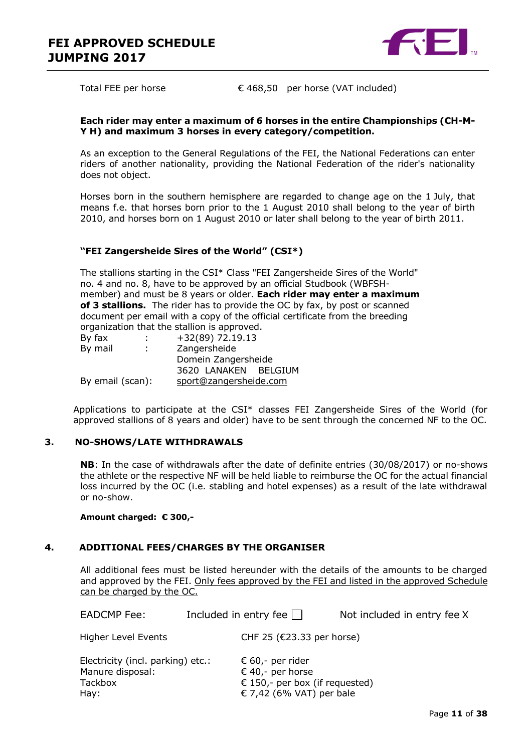

Total FEE per horse  $\epsilon$  468,50 per horse (VAT included)

#### **Each rider may enter a maximum of 6 horses in the entire Championships (CH-M-Y H) and maximum 3 horses in every category/competition.**

As an exception to the General Regulations of the FEI, the National Federations can enter riders of another nationality, providing the National Federation of the rider's nationality does not object.

Horses born in the southern hemisphere are regarded to change age on the 1 July, that means f.e. that horses born prior to the 1 August 2010 shall belong to the year of birth 2010, and horses born on 1 August 2010 or later shall belong to the year of birth 2011.

#### **"FEI Zangersheide Sires of the World" (CSI\*)**

The stallions starting in the CSI\* Class "FEI Zangersheide Sires of the World" no. 4 and no. 8, have to be approved by an official Studbook (WBFSHmember) and must be 8 years or older. **Each rider may enter a maximum of 3 stallions.** The rider has to provide the OC by fax, by post or scanned document per email with a copy of the official certificate from the breeding organization that the stallion is approved.

| ÷                |              |                                                                                             |
|------------------|--------------|---------------------------------------------------------------------------------------------|
| ÷                | Zangersheide |                                                                                             |
|                  |              |                                                                                             |
|                  |              |                                                                                             |
| By email (scan): |              |                                                                                             |
|                  |              | $+32(89)$ 72.19.13<br>Domein Zangersheide<br>3620 LANAKEN BELGIUM<br>sport@zangersheide.com |

Applications to participate at the CSI\* classes FEI Zangersheide Sires of the World (for approved stallions of 8 years and older) have to be sent through the concerned NF to the OC.

#### <span id="page-10-0"></span>**3. NO-SHOWS/LATE WITHDRAWALS**

**NB**: In the case of withdrawals after the date of definite entries (30/08/2017) or no-shows the athlete or the respective NF will be held liable to reimburse the OC for the actual financial loss incurred by the OC (i.e. stabling and hotel expenses) as a result of the late withdrawal or no-show.

#### **Amount charged: € 300,-**

#### **4. ADDITIONAL FEES/CHARGES BY THE ORGANISER**

<span id="page-10-1"></span>All additional fees must be listed hereunder with the details of the amounts to be charged and approved by the FEI. Only fees approved by the FEI and listed in the approved Schedule can be charged by the OC.

| <b>EADCMP Fee:</b>                                    | Included in entry fee $\Box$         | Not included in entry fee X   |  |  |
|-------------------------------------------------------|--------------------------------------|-------------------------------|--|--|
| Higher Level Events                                   |                                      | CHF 25 ( $E$ 23.33 per horse) |  |  |
| Electricity (incl. parking) etc.:<br>Manure disposal: | € 60,- per rider<br>€ 40,- per horse |                               |  |  |

Tackbox  $\epsilon$  150,- per box (if requested) Hay:  $\epsilon$  7,42 (6% VAT) per bale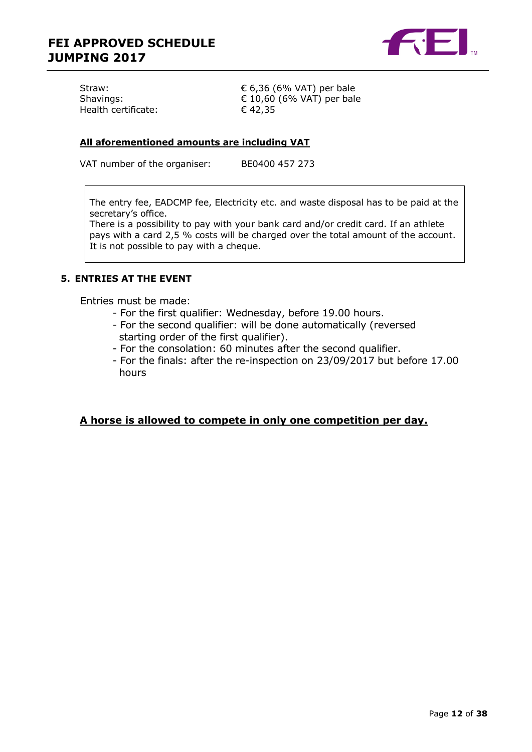

| Straw:              |  |
|---------------------|--|
| Shavings:           |  |
| Health certificate: |  |

 $\epsilon$  6,36 (6% VAT) per bale  $\epsilon$  10,60 (6% VAT) per bale  $€ 42,35$ 

#### **All aforementioned amounts are including VAT**

VAT number of the organiser: BE0400 457 273

The entry fee, EADCMP fee, Electricity etc. and waste disposal has to be paid at the secretary's office.

There is a possibility to pay with your bank card and/or credit card. If an athlete pays with a card 2,5 % costs will be charged over the total amount of the account. It is not possible to pay with a cheque.

#### <span id="page-11-0"></span>**5. ENTRIES AT THE EVENT**

Entries must be made:

- For the first qualifier: Wednesday, before 19.00 hours.
- For the second qualifier: will be done automatically (reversed starting order of the first qualifier).
- For the consolation: 60 minutes after the second qualifier.
- For the finals: after the re-inspection on 23/09/2017 but before 17.00 hours

#### **A horse is allowed to compete in only one competition per day.**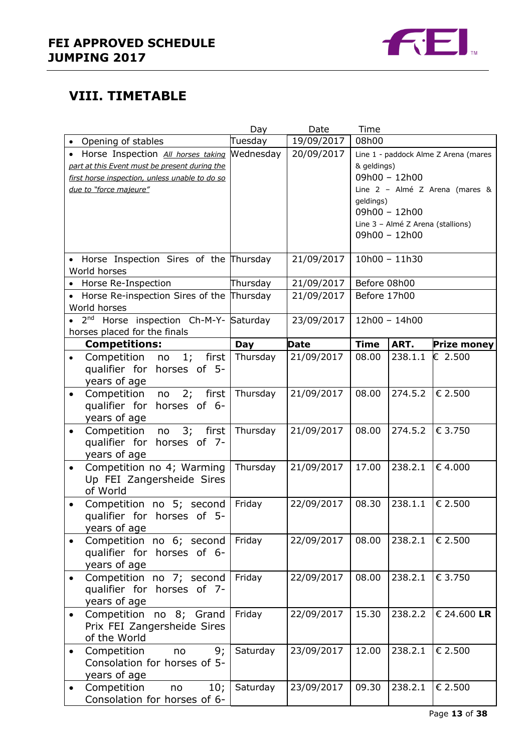

## **VIII. TIMETABLE**

|                                                                 | Day                    | Date        | Time                                 |                                   |                                        |
|-----------------------------------------------------------------|------------------------|-------------|--------------------------------------|-----------------------------------|----------------------------------------|
| Opening of stables                                              | Tuesday                | 19/09/2017  | 08h00                                |                                   |                                        |
| Horse Inspection All horses taking                              | Wednesday              | 20/09/2017  | Line 1 - paddock Alme Z Arena (mares |                                   |                                        |
| part at this Event must be present during the                   |                        |             | & geldings)                          |                                   |                                        |
| first horse inspection, unless unable to do so                  |                        |             |                                      | 09h00 - 12h00                     |                                        |
| due to "force majeure"                                          |                        |             |                                      |                                   | Line 2 - Almé Z Arena (mares &         |
|                                                                 |                        |             | geldings)                            | 09h00 - 12h00                     |                                        |
|                                                                 |                        |             |                                      | Line 3 - Almé Z Arena (stallions) |                                        |
|                                                                 |                        |             |                                      | 09h00 - 12h00                     |                                        |
|                                                                 |                        |             |                                      |                                   |                                        |
| • Horse Inspection Sires of the Thursday                        |                        | 21/09/2017  |                                      | $10h00 - 11h30$                   |                                        |
| World horses                                                    |                        |             |                                      |                                   |                                        |
| Horse Re-Inspection                                             | Thursday               | 21/09/2017  | Before 08h00                         |                                   |                                        |
| Horse Re-inspection Sires of the Thursday<br>$\bullet$          |                        | 21/09/2017  | Before 17h00                         |                                   |                                        |
| World horses                                                    |                        |             |                                      |                                   |                                        |
| Horse inspection Ch-M-Y- Saturday<br>2 <sub>nd</sub>            |                        | 23/09/2017  |                                      | 12h00 - 14h00                     |                                        |
| horses placed for the finals                                    |                        | <b>Date</b> | <b>Time</b>                          | ART.                              |                                        |
| <b>Competitions:</b><br>1; first<br>Competition no<br>$\bullet$ | <b>Day</b><br>Thursday | 21/09/2017  | 08.00                                | 238.1.1                           | <b>Prize money</b><br>$\epsilon$ 2.500 |
| qualifier for horses of 5-                                      |                        |             |                                      |                                   |                                        |
| years of age                                                    |                        |             |                                      |                                   |                                        |
| Competition<br>$2;$ first<br>no<br>$\bullet$                    | Thursday               | 21/09/2017  | 08.00                                | 274.5.2                           | € 2.500                                |
| qualifier for<br>horses of 6-                                   |                        |             |                                      |                                   |                                        |
| years of age                                                    |                        |             |                                      |                                   |                                        |
| Competition<br>$3;$ first<br>no<br>$\bullet$                    | Thursday               | 21/09/2017  | 08.00                                | 274.5.2                           | € 3.750                                |
| qualifier for horses of 7-                                      |                        |             |                                      |                                   |                                        |
| years of age                                                    |                        |             |                                      |                                   |                                        |
| Competition no 4; Warming<br>$\bullet$                          | Thursday               | 21/09/2017  | 17.00                                | 238.2.1                           | €4.000                                 |
| Up FEI Zangersheide Sires                                       |                        |             |                                      |                                   |                                        |
| of World                                                        |                        |             |                                      |                                   |                                        |
| Competition no 5; second<br>$\bullet$                           | Friday                 | 22/09/2017  | 08.30                                | 238.1.1                           | € 2.500                                |
| qualifier for horses of 5-                                      |                        |             |                                      |                                   |                                        |
| years of age<br>Competition no 6; second                        | Friday                 | 22/09/2017  | 08.00                                | 238.2.1                           | € 2.500                                |
| qualifier for horses of 6-                                      |                        |             |                                      |                                   |                                        |
| years of age                                                    |                        |             |                                      |                                   |                                        |
| Competition no 7; second<br>$\bullet$                           | Friday                 | 22/09/2017  | 08.00                                | 238.2.1                           | € 3.750                                |
| qualifier for horses of 7-                                      |                        |             |                                      |                                   |                                        |
| years of age                                                    |                        |             |                                      |                                   |                                        |
| Competition no 8; Grand                                         | Friday                 | 22/09/2017  | 15.30                                | 238.2.2                           | € 24.600 LR                            |
| Prix FEI Zangersheide Sires                                     |                        |             |                                      |                                   |                                        |
| of the World                                                    |                        |             |                                      |                                   |                                        |
| Competition<br>9;<br>no<br>$\bullet$                            | Saturday               | 23/09/2017  | 12.00                                | 238.2.1                           | € 2.500                                |
| Consolation for horses of 5-                                    |                        |             |                                      |                                   |                                        |
| years of age                                                    |                        |             |                                      |                                   |                                        |
| Competition<br>10;<br>no<br>$\bullet$                           | Saturday               | 23/09/2017  | 09.30                                | 238.2.1                           | € 2.500                                |
| Consolation for horses of 6-                                    |                        |             |                                      |                                   |                                        |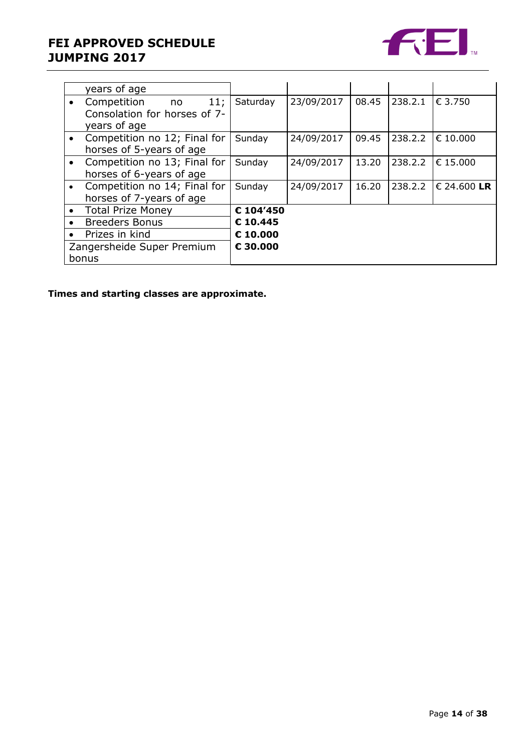### **FEI APPROVED SCHEDULE JUMPING 2017**



|                            | years of age                 |           |            |       |         |             |
|----------------------------|------------------------------|-----------|------------|-------|---------|-------------|
|                            | 11;<br>Competition<br>no no  | Saturday  | 23/09/2017 | 08.45 | 238.2.1 | € 3.750     |
|                            | Consolation for horses of 7- |           |            |       |         |             |
|                            | years of age                 |           |            |       |         |             |
|                            | Competition no 12; Final for | Sunday    | 24/09/2017 | 09.45 | 238.2.2 | € 10,000    |
|                            | horses of 5-years of age     |           |            |       |         |             |
|                            | Competition no 13; Final for | Sunday    | 24/09/2017 | 13.20 | 238.2.2 | € 15.000    |
|                            | horses of 6-years of age     |           |            |       |         |             |
|                            | Competition no 14; Final for | Sunday    | 24/09/2017 | 16.20 | 238.2.2 | € 24.600 LR |
|                            | horses of 7-years of age     |           |            |       |         |             |
| $\bullet$                  | <b>Total Prize Money</b>     | € 104'450 |            |       |         |             |
| $\bullet$                  | <b>Breeders Bonus</b>        | €10.445   |            |       |         |             |
|                            | Prizes in kind               | € 10,000  |            |       |         |             |
| Zangersheide Super Premium |                              | € 30.000  |            |       |         |             |
|                            | bonus                        |           |            |       |         |             |

**Times and starting classes are approximate.**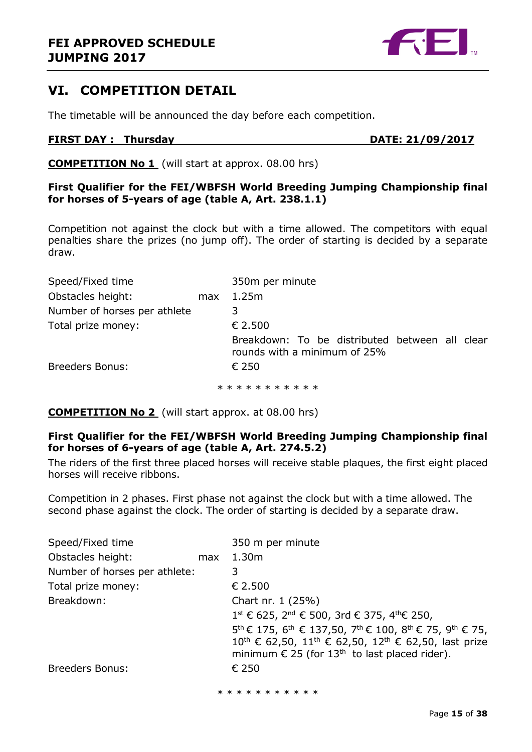### <span id="page-14-0"></span>**VI. COMPETITION DETAIL**

The timetable will be announced the day before each competition.

#### **FIRST DAY : Thursday DATE: 21/09/2017**

**COMPETITION No 1** (will start at approx. 08.00 hrs)

**First Qualifier for the FEI/WBFSH World Breeding Jumping Championship final for horses of 5-years of age (table A, Art. 238.1.1)**

Competition not against the clock but with a time allowed. The competitors with equal penalties share the prizes (no jump off). The order of starting is decided by a separate draw.

| Speed/Fixed time             |     | 350m per minute                                                                |  |  |
|------------------------------|-----|--------------------------------------------------------------------------------|--|--|
| Obstacles height:            | max | 1.25m                                                                          |  |  |
| Number of horses per athlete |     | 3                                                                              |  |  |
| Total prize money:           |     | € 2.500                                                                        |  |  |
|                              |     | Breakdown: To be distributed between all clear<br>rounds with a minimum of 25% |  |  |
| <b>Breeders Bonus:</b>       |     | $\epsilon$ 250                                                                 |  |  |
|                              |     | * * * * * * * * * * *                                                          |  |  |

**COMPETITION No 2** (will start approx. at 08.00 hrs)

### **First Qualifier for the FEI/WBFSH World Breeding Jumping Championship final for horses of 6-years of age (table A, Art. 274.5.2)**

The riders of the first three placed horses will receive stable plaques, the first eight placed horses will receive ribbons.

Competition in 2 phases. First phase not against the clock but with a time allowed. The second phase against the clock. The order of starting is decided by a separate draw.

| Speed/Fixed time              |     | 350 m per minute                                                                                                                                                                                                |
|-------------------------------|-----|-----------------------------------------------------------------------------------------------------------------------------------------------------------------------------------------------------------------|
| Obstacles height:             | max | 1.30 <sub>m</sub>                                                                                                                                                                                               |
| Number of horses per athlete: |     | 3.                                                                                                                                                                                                              |
| Total prize money:            |     | € 2.500                                                                                                                                                                                                         |
| Breakdown:                    |     | Chart nr. 1 (25%)                                                                                                                                                                                               |
|                               |     | $1^{\text{st}}$ € 625, 2 <sup>nd</sup> € 500, 3rd € 375, 4 <sup>th</sup> € 250,                                                                                                                                 |
|                               |     | 5 <sup>th</sup> € 175, 6 <sup>th</sup> € 137,50, 7 <sup>th</sup> € 100, 8 <sup>th</sup> € 75, 9 <sup>th</sup> € 75,<br>10 <sup>th</sup> € 62,50, 11 <sup>th</sup> € 62,50, 12 <sup>th</sup> € 62,50, last prize |
|                               |     | minimum $\epsilon$ 25 (for 13 <sup>th</sup> to last placed rider).                                                                                                                                              |
| <b>Breeders Bonus:</b>        |     | € 250                                                                                                                                                                                                           |
|                               |     | * * * * * * * * * * *                                                                                                                                                                                           |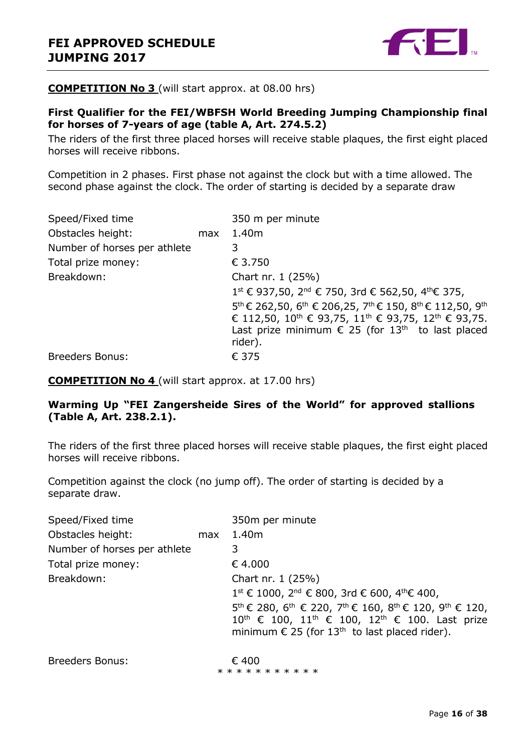

#### **COMPETITION No 3** (will start approx. at 08.00 hrs)

### **First Qualifier for the FEI/WBFSH World Breeding Jumping Championship final for horses of 7-years of age (table A, Art. 274.5.2)**

The riders of the first three placed horses will receive stable plaques, the first eight placed horses will receive ribbons.

Competition in 2 phases. First phase not against the clock but with a time allowed. The second phase against the clock. The order of starting is decided by a separate draw

| Speed/Fixed time             |     | 350 m per minute                                                                                                     |
|------------------------------|-----|----------------------------------------------------------------------------------------------------------------------|
| Obstacles height:            | max | 1.40m                                                                                                                |
| Number of horses per athlete |     | 3                                                                                                                    |
| Total prize money:           |     | € 3.750                                                                                                              |
| Breakdown:                   |     | Chart nr. 1 (25%)                                                                                                    |
|                              |     | $1^{st}$ € 937,50, 2 <sup>nd</sup> € 750, 3rd € 562,50, 4 <sup>th</sup> € 375,                                       |
|                              |     | 5 <sup>th</sup> € 262,50, 6 <sup>th</sup> € 206,25, 7 <sup>th</sup> € 150, 8 <sup>th</sup> € 112,50, 9 <sup>th</sup> |
|                              |     | € 112,50, 10 <sup>th</sup> € 93,75, 11 <sup>th</sup> € 93,75, 12 <sup>th</sup> € 93,75.                              |
|                              |     | Last prize minimum $\epsilon$ 25 (for 13 <sup>th</sup> to last placed                                                |
|                              |     | rider).                                                                                                              |
| <b>Breeders Bonus:</b>       |     | € 375                                                                                                                |

**COMPETITION No 4** (will start approx. at 17.00 hrs)

### **Warming Up "FEI Zangersheide Sires of the World" for approved stallions (Table A, Art. 238.2.1).**

The riders of the first three placed horses will receive stable plaques, the first eight placed horses will receive ribbons.

Competition against the clock (no jump off). The order of starting is decided by a separate draw.

| Speed/Fixed time             |     | 350m per minute                                                                                                                                                                                                                                                                |
|------------------------------|-----|--------------------------------------------------------------------------------------------------------------------------------------------------------------------------------------------------------------------------------------------------------------------------------|
| Obstacles height:            | max | 1.40m                                                                                                                                                                                                                                                                          |
| Number of horses per athlete |     | 3                                                                                                                                                                                                                                                                              |
| Total prize money:           |     | € 4.000                                                                                                                                                                                                                                                                        |
| Breakdown:                   |     | Chart nr. 1 (25%)                                                                                                                                                                                                                                                              |
|                              |     | $1^{\text{st}}$ € 1000, 2 <sup>nd</sup> € 800, 3rd € 600, 4 <sup>th</sup> € 400,                                                                                                                                                                                               |
|                              |     | 5 <sup>th</sup> € 280, 6 <sup>th</sup> € 220, 7 <sup>th</sup> € 160, 8 <sup>th</sup> € 120, 9 <sup>th</sup> € 120,<br>$10^{\text{th}}$ € 100, $11^{\text{th}}$ € 100, $12^{\text{th}}$ € 100. Last prize<br>minimum $\epsilon$ 25 (for 13 <sup>th</sup> to last placed rider). |
| <b>Breeders Bonus:</b>       |     | € 400<br>* * * * * * * * * * *                                                                                                                                                                                                                                                 |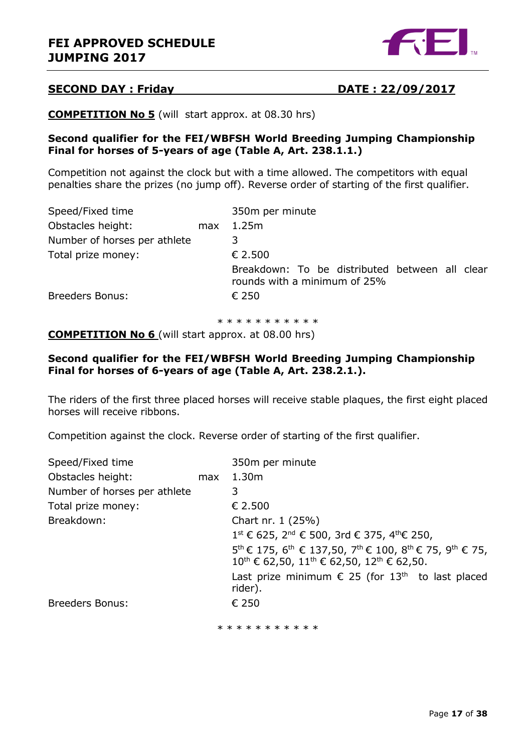

### **SECOND DAY : Friday DATE : 22/09/2017**

**COMPETITION No 5** (will start approx. at 08.30 hrs)

#### **Second qualifier for the FEI/WBFSH World Breeding Jumping Championship Final for horses of 5-years of age (Table A, Art. 238.1.1.)**

Competition not against the clock but with a time allowed. The competitors with equal penalties share the prizes (no jump off). Reverse order of starting of the first qualifier.

| Speed/Fixed time             |     | 350m per minute                                                                |  |  |
|------------------------------|-----|--------------------------------------------------------------------------------|--|--|
| Obstacles height:            | max | 1.25m                                                                          |  |  |
| Number of horses per athlete |     | 3                                                                              |  |  |
| Total prize money:           |     | € 2.500                                                                        |  |  |
|                              |     | Breakdown: To be distributed between all clear<br>rounds with a minimum of 25% |  |  |
| <b>Breeders Bonus:</b>       |     | € 250                                                                          |  |  |
|                              |     |                                                                                |  |  |

\* \* \* \* \* \* \* \* \* \*

**COMPETITION No 6** (will start approx. at 08.00 hrs)

#### **Second qualifier for the FEI/WBFSH World Breeding Jumping Championship Final for horses of 6-years of age (Table A, Art. 238.2.1.).**

The riders of the first three placed horses will receive stable plaques, the first eight placed horses will receive ribbons.

Competition against the clock. Reverse order of starting of the first qualifier.

| Speed/Fixed time             |     | 350m per minute                                                                                                                                                                                      |
|------------------------------|-----|------------------------------------------------------------------------------------------------------------------------------------------------------------------------------------------------------|
| Obstacles height:            | max | 1.30 <sub>m</sub>                                                                                                                                                                                    |
| Number of horses per athlete |     | 3                                                                                                                                                                                                    |
| Total prize money:           |     | € 2.500                                                                                                                                                                                              |
| Breakdown:                   |     | Chart nr. 1 (25%)                                                                                                                                                                                    |
|                              |     | $1^{\text{st}}$ € 625, 2 <sup>nd</sup> € 500, 3rd € 375, 4 <sup>th</sup> € 250,                                                                                                                      |
|                              |     | 5 <sup>th</sup> € 175, 6 <sup>th</sup> € 137,50, 7 <sup>th</sup> € 100, 8 <sup>th</sup> € 75, 9 <sup>th</sup> € 75,<br>$10^{\text{th}}$ € 62,50, $11^{\text{th}}$ € 62,50, $12^{\text{th}}$ € 62,50. |
|                              |     | Last prize minimum $\epsilon$ 25 (for 13 <sup>th</sup> to last placed<br>rider).                                                                                                                     |
| <b>Breeders Bonus:</b>       |     | € 250                                                                                                                                                                                                |
|                              |     | * * * * * * * * * * *                                                                                                                                                                                |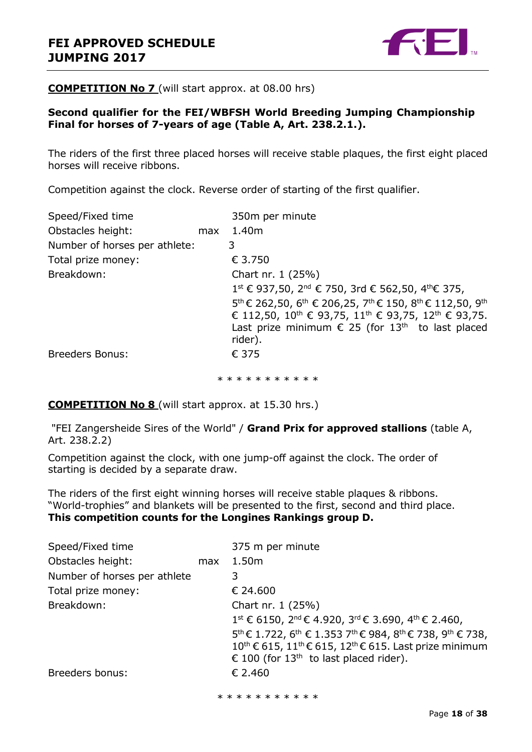

#### **COMPETITION No 7** (will start approx. at 08.00 hrs)

### **Second qualifier for the FEI/WBFSH World Breeding Jumping Championship Final for horses of 7-years of age (Table A, Art. 238.2.1.).**

The riders of the first three placed horses will receive stable plaques, the first eight placed horses will receive ribbons.

Competition against the clock. Reverse order of starting of the first qualifier.

| Speed/Fixed time              |     | 350m per minute                                                                                               |
|-------------------------------|-----|---------------------------------------------------------------------------------------------------------------|
| Obstacles height:             | max | 1.40m                                                                                                         |
| Number of horses per athlete: |     | 3                                                                                                             |
| Total prize money:            |     | € 3.750                                                                                                       |
| Breakdown:                    |     | Chart nr. 1 (25%)                                                                                             |
|                               |     | 1 <sup>st</sup> € 937,50, 2 <sup>nd</sup> € 750, 3rd € 562,50, 4 <sup>th</sup> € 375,                         |
|                               |     | $5^{th}$ € 262,50, 6 <sup>th</sup> € 206,25, 7 <sup>th</sup> € 150, 8 <sup>th</sup> € 112,50, 9 <sup>th</sup> |
|                               |     | € 112,50, 10 <sup>th</sup> € 93,75, 11 <sup>th</sup> € 93,75, 12 <sup>th</sup> € 93,75.                       |
|                               |     | Last prize minimum $\epsilon$ 25 (for 13 <sup>th</sup> to last placed<br>rider).                              |
| <b>Breeders Bonus:</b>        |     | € 375                                                                                                         |
|                               |     | * * * * * * * * * * *                                                                                         |

**COMPETITION No 8** (will start approx. at 15.30 hrs.)

"FEI Zangersheide Sires of the World" / **Grand Prix for approved stallions** (table A, Art. 238.2.2)

Competition against the clock, with one jump-off against the clock. The order of starting is decided by a separate draw.

The riders of the first eight winning horses will receive stable plaques & ribbons. "World-trophies" and blankets will be presented to the first, second and third place. **This competition counts for the Longines Rankings group D.**

|     | 375 m per minute                                                                                                      |
|-----|-----------------------------------------------------------------------------------------------------------------------|
| max | 1.50m                                                                                                                 |
|     | 3                                                                                                                     |
|     | € 24.600                                                                                                              |
|     | Chart nr. 1 (25%)                                                                                                     |
|     | $1^{\text{st}}$ € 6150, $2^{\text{nd}}$ € 4.920, $3^{\text{rd}}$ € 3.690, $4^{\text{th}}$ € 2.460,                    |
|     | 5 <sup>th</sup> € 1.722, 6 <sup>th</sup> € 1.353 7 <sup>th</sup> € 984, 8 <sup>th</sup> € 738, 9 <sup>th</sup> € 738, |
|     | 10 <sup>th</sup> € 615, 11 <sup>th</sup> € 615, 12 <sup>th</sup> € 615. Last prize minimum                            |
|     | € 100 (for 13 <sup>th</sup> to last placed rider).                                                                    |
|     | € 2.460                                                                                                               |
|     |                                                                                                                       |

\* \* \* \* \* \* \* \* \* \*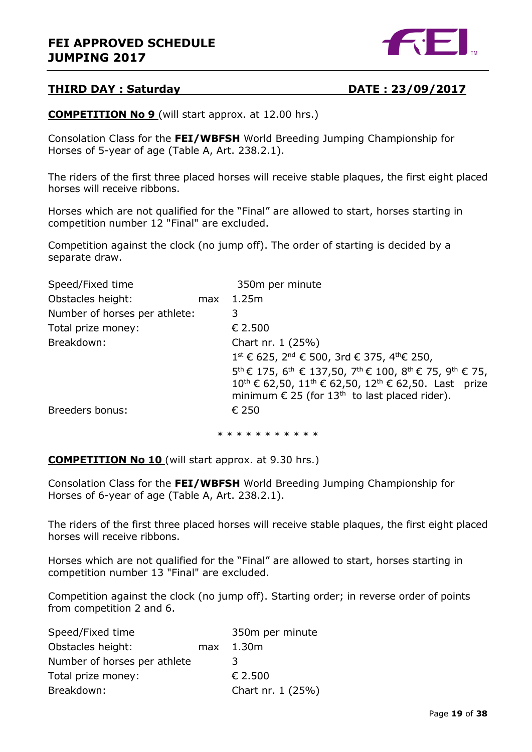

### **THIRD DAY : Saturday DATE : 23/09/2017**

**COMPETITION No 9** (will start approx. at 12.00 hrs.)

Consolation Class for the **FEI/WBFSH** World Breeding Jumping Championship for Horses of 5-year of age (Table A, Art. 238.2.1).

The riders of the first three placed horses will receive stable plaques, the first eight placed horses will receive ribbons.

Horses which are not qualified for the "Final" are allowed to start, horses starting in competition number 12 "Final" are excluded.

Competition against the clock (no jump off). The order of starting is decided by a separate draw.

| Speed/Fixed time              |     | 350m per minute                                                                                                     |
|-------------------------------|-----|---------------------------------------------------------------------------------------------------------------------|
| Obstacles height:             | max | 1.25m                                                                                                               |
| Number of horses per athlete: |     | 3                                                                                                                   |
| Total prize money:            |     | € 2.500                                                                                                             |
| Breakdown:                    |     | Chart nr. 1 (25%)                                                                                                   |
|                               |     | 1 <sup>st</sup> € 625, 2 <sup>nd</sup> € 500, 3rd € 375, 4 <sup>th</sup> € 250,                                     |
|                               |     | 5 <sup>th</sup> € 175, 6 <sup>th</sup> € 137,50, 7 <sup>th</sup> € 100, 8 <sup>th</sup> € 75, 9 <sup>th</sup> € 75, |
|                               |     | 10 <sup>th</sup> € 62,50, 11 <sup>th</sup> € 62,50, 12 <sup>th</sup> € 62,50. Last prize                            |
|                               |     | minimum $\epsilon$ 25 (for 13 <sup>th</sup> to last placed rider).                                                  |
| Breeders bonus:               |     | € 250                                                                                                               |
|                               |     |                                                                                                                     |

\* \* \* \* \* \* \* \* \* \*

**COMPETITION No 10** (will start approx. at 9.30 hrs.)

Consolation Class for the **FEI/WBFSH** World Breeding Jumping Championship for Horses of 6-year of age (Table A, Art. 238.2.1).

The riders of the first three placed horses will receive stable plaques, the first eight placed horses will receive ribbons.

Horses which are not qualified for the "Final" are allowed to start, horses starting in competition number 13 "Final" are excluded.

Competition against the clock (no jump off). Starting order; in reverse order of points from competition 2 and 6.

| Speed/Fixed time             | 350m per minute   |
|------------------------------|-------------------|
| Obstacles height:            | $max$ 1.30m       |
| Number of horses per athlete | 3                 |
| Total prize money:           | € 2.500           |
| Breakdown:                   | Chart nr. 1 (25%) |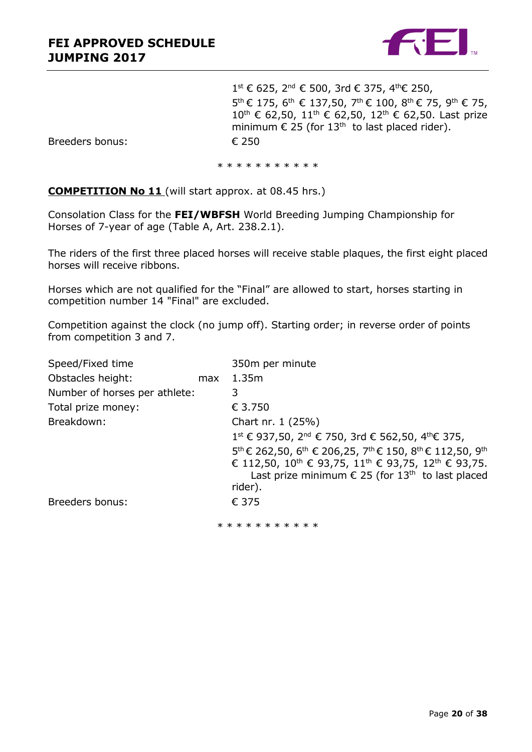

1<sup>st</sup> € 625, 2<sup>nd</sup> € 500, 3rd € 375, 4<sup>th</sup>€ 250, 5<sup>th</sup> € 175, 6<sup>th</sup> € 137,50, 7<sup>th</sup> € 100, 8<sup>th</sup> € 75, 9<sup>th</sup> € 75, 10<sup>th</sup> € 62,50, 11<sup>th</sup> € 62,50, 12<sup>th</sup> € 62,50. Last prize minimum  $\epsilon$  25 (for 13<sup>th</sup> to last placed rider).

Breeders bonus: € 250

\* \* \* \* \* \* \* \* \* \* \*

**COMPETITION No 11** (will start approx. at 08.45 hrs.)

Consolation Class for the **FEI/WBFSH** World Breeding Jumping Championship for Horses of 7-year of age (Table A, Art. 238.2.1).

The riders of the first three placed horses will receive stable plaques, the first eight placed horses will receive ribbons.

Horses which are not qualified for the "Final" are allowed to start, horses starting in competition number 14 "Final" are excluded.

Competition against the clock (no jump off). Starting order; in reverse order of points from competition 3 and 7.

| Speed/Fixed time              |     | 350m per minute                                                                                               |
|-------------------------------|-----|---------------------------------------------------------------------------------------------------------------|
| Obstacles height:             | max | 1.35m                                                                                                         |
| Number of horses per athlete: |     | 3                                                                                                             |
| Total prize money:            |     | € 3.750                                                                                                       |
| Breakdown:                    |     | Chart nr. 1 (25%)                                                                                             |
|                               |     | 1 <sup>st</sup> € 937,50, 2 <sup>nd</sup> € 750, 3rd € 562,50, 4 <sup>th</sup> € 375,                         |
|                               |     | $5^{th}$ € 262,50, 6 <sup>th</sup> € 206,25, 7 <sup>th</sup> € 150, 8 <sup>th</sup> € 112,50, 9 <sup>th</sup> |
|                               |     | € 112,50, 10 <sup>th</sup> € 93,75, 11 <sup>th</sup> € 93,75, 12 <sup>th</sup> € 93,75.                       |
|                               |     | Last prize minimum $\epsilon$ 25 (for 13 <sup>th</sup> to last placed<br>rider).                              |
| Breeders bonus:               |     | € 375                                                                                                         |
|                               |     | * * * * * * * * * * *                                                                                         |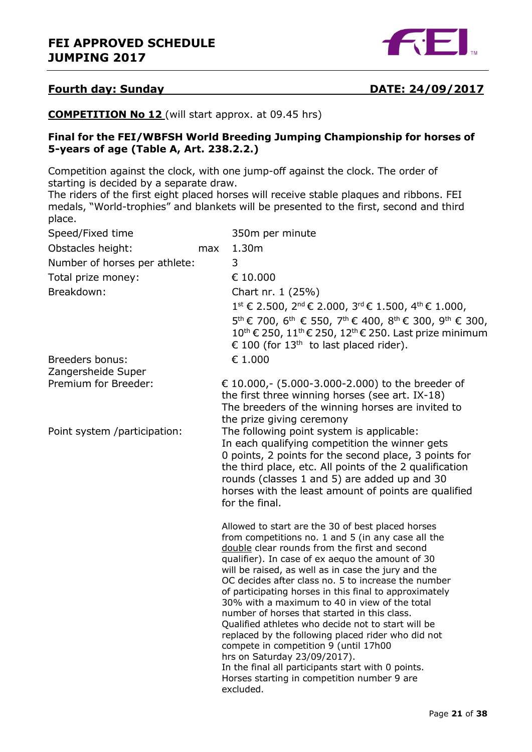

#### **Fourth day: Sunday DATE: 24/09/2017**

**COMPETITION No 12** (will start approx. at 09.45 hrs)

#### **Final for the FEI/WBFSH World Breeding Jumping Championship for horses of 5-years of age (Table A, Art. 238.2.2.)**

Competition against the clock, with one jump-off against the clock. The order of starting is decided by a separate draw.

The riders of the first eight placed horses will receive stable plaques and ribbons. FEI medals, "World-trophies" and blankets will be presented to the first, second and third place.

| Speed/Fixed time              |     | 350m per minute                                                                                                                                                                                                                                                                                                                                                                                                                                                                                                                                                                                                                                                                                                                                                                              |
|-------------------------------|-----|----------------------------------------------------------------------------------------------------------------------------------------------------------------------------------------------------------------------------------------------------------------------------------------------------------------------------------------------------------------------------------------------------------------------------------------------------------------------------------------------------------------------------------------------------------------------------------------------------------------------------------------------------------------------------------------------------------------------------------------------------------------------------------------------|
| Obstacles height:             | max | 1.30m                                                                                                                                                                                                                                                                                                                                                                                                                                                                                                                                                                                                                                                                                                                                                                                        |
| Number of horses per athlete: |     | 3                                                                                                                                                                                                                                                                                                                                                                                                                                                                                                                                                                                                                                                                                                                                                                                            |
| Total prize money:            |     | € 10.000                                                                                                                                                                                                                                                                                                                                                                                                                                                                                                                                                                                                                                                                                                                                                                                     |
| Breakdown:                    |     | Chart nr. 1 (25%)                                                                                                                                                                                                                                                                                                                                                                                                                                                                                                                                                                                                                                                                                                                                                                            |
|                               |     | $1^{st}$ € 2.500, $2^{nd}$ € 2.000, $3^{rd}$ € 1.500, $4^{th}$ € 1.000,                                                                                                                                                                                                                                                                                                                                                                                                                                                                                                                                                                                                                                                                                                                      |
|                               |     | 5 <sup>th</sup> € 700, 6 <sup>th</sup> € 550, 7 <sup>th</sup> € 400, 8 <sup>th</sup> € 300, 9 <sup>th</sup> € 300,<br>10 <sup>th</sup> € 250, 11 <sup>th</sup> € 250, 12 <sup>th</sup> € 250. Last prize minimum<br>€ 100 (for 13 <sup>th</sup> to last placed rider).                                                                                                                                                                                                                                                                                                                                                                                                                                                                                                                       |
| Breeders bonus:               |     | $\epsilon$ 1.000                                                                                                                                                                                                                                                                                                                                                                                                                                                                                                                                                                                                                                                                                                                                                                             |
| Zangersheide Super            |     |                                                                                                                                                                                                                                                                                                                                                                                                                                                                                                                                                                                                                                                                                                                                                                                              |
| Premium for Breeder:          |     | € 10.000,- (5.000-3.000-2.000) to the breeder of<br>the first three winning horses (see art. IX-18)<br>The breeders of the winning horses are invited to<br>the prize giving ceremony                                                                                                                                                                                                                                                                                                                                                                                                                                                                                                                                                                                                        |
| Point system /participation:  |     | The following point system is applicable:<br>In each qualifying competition the winner gets<br>0 points, 2 points for the second place, 3 points for<br>the third place, etc. All points of the 2 qualification<br>rounds (classes 1 and 5) are added up and 30<br>horses with the least amount of points are qualified<br>for the final.                                                                                                                                                                                                                                                                                                                                                                                                                                                    |
|                               |     | Allowed to start are the 30 of best placed horses<br>from competitions no. 1 and 5 (in any case all the<br>double clear rounds from the first and second<br>qualifier). In case of ex aequo the amount of 30<br>will be raised, as well as in case the jury and the<br>OC decides after class no. 5 to increase the number<br>of participating horses in this final to approximately<br>30% with a maximum to 40 in view of the total<br>number of horses that started in this class.<br>Qualified athletes who decide not to start will be<br>replaced by the following placed rider who did not<br>compete in competition 9 (until 17h00<br>hrs on Saturday 23/09/2017).<br>In the final all participants start with 0 points.<br>Horses starting in competition number 9 are<br>excluded. |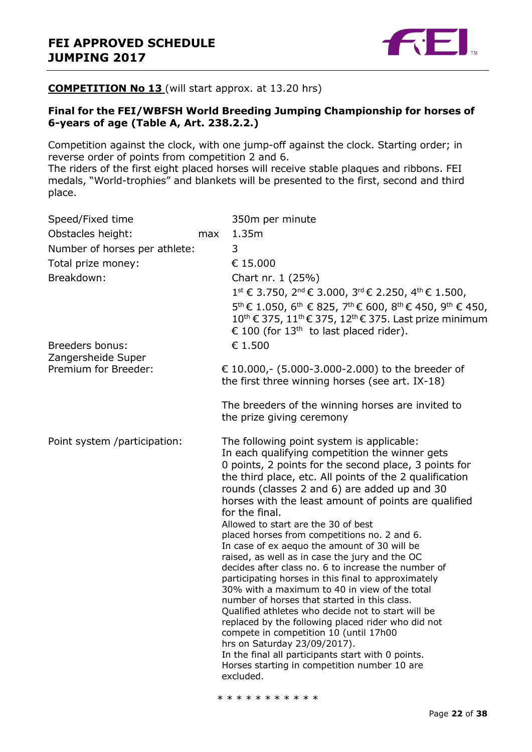

#### **COMPETITION No 13** (will start approx. at 13.20 hrs)

#### **Final for the FEI/WBFSH World Breeding Jumping Championship for horses of 6-years of age (Table A, Art. 238.2.2.)**

Competition against the clock, with one jump-off against the clock. Starting order; in reverse order of points from competition 2 and 6.

The riders of the first eight placed horses will receive stable plaques and ribbons. FEI medals, "World-trophies" and blankets will be presented to the first, second and third place.

|                               | 350m per minute                                                                                                                                                                                                                                                                                                                                                                                                                                                                                                                                                                                                                                                                                                                                                                                                                                                                                                                                                                                                                                                                     |
|-------------------------------|-------------------------------------------------------------------------------------------------------------------------------------------------------------------------------------------------------------------------------------------------------------------------------------------------------------------------------------------------------------------------------------------------------------------------------------------------------------------------------------------------------------------------------------------------------------------------------------------------------------------------------------------------------------------------------------------------------------------------------------------------------------------------------------------------------------------------------------------------------------------------------------------------------------------------------------------------------------------------------------------------------------------------------------------------------------------------------------|
| max                           | 1.35m                                                                                                                                                                                                                                                                                                                                                                                                                                                                                                                                                                                                                                                                                                                                                                                                                                                                                                                                                                                                                                                                               |
|                               | 3                                                                                                                                                                                                                                                                                                                                                                                                                                                                                                                                                                                                                                                                                                                                                                                                                                                                                                                                                                                                                                                                                   |
|                               | € 15.000                                                                                                                                                                                                                                                                                                                                                                                                                                                                                                                                                                                                                                                                                                                                                                                                                                                                                                                                                                                                                                                                            |
|                               | Chart nr. 1 (25%)                                                                                                                                                                                                                                                                                                                                                                                                                                                                                                                                                                                                                                                                                                                                                                                                                                                                                                                                                                                                                                                                   |
|                               | $1^{st}$ € 3.750, 2 <sup>nd</sup> € 3.000, 3 <sup>rd</sup> € 2.250, 4 <sup>th</sup> € 1.500,<br>5 <sup>th</sup> € 1.050, 6 <sup>th</sup> € 825, 7 <sup>th</sup> € 600, 8 <sup>th</sup> € 450, 9 <sup>th</sup> € 450,<br>10 <sup>th</sup> € 375, 11 <sup>th</sup> € 375, 12 <sup>th</sup> € 375. Last prize minimum<br>€ 100 (for 13 <sup>th</sup> to last placed rider).<br>€ 1.500                                                                                                                                                                                                                                                                                                                                                                                                                                                                                                                                                                                                                                                                                                 |
|                               | € 10.000,- (5.000-3.000-2.000) to the breeder of<br>the first three winning horses (see art. IX-18)                                                                                                                                                                                                                                                                                                                                                                                                                                                                                                                                                                                                                                                                                                                                                                                                                                                                                                                                                                                 |
|                               | The breeders of the winning horses are invited to<br>the prize giving ceremony                                                                                                                                                                                                                                                                                                                                                                                                                                                                                                                                                                                                                                                                                                                                                                                                                                                                                                                                                                                                      |
|                               | The following point system is applicable:<br>In each qualifying competition the winner gets<br>0 points, 2 points for the second place, 3 points for<br>the third place, etc. All points of the 2 qualification<br>rounds (classes 2 and 6) are added up and 30<br>horses with the least amount of points are qualified<br>for the final.<br>Allowed to start are the 30 of best<br>placed horses from competitions no. 2 and 6.<br>In case of ex aequo the amount of 30 will be<br>raised, as well as in case the jury and the OC<br>decides after class no. 6 to increase the number of<br>participating horses in this final to approximately<br>30% with a maximum to 40 in view of the total<br>number of horses that started in this class.<br>Qualified athletes who decide not to start will be<br>replaced by the following placed rider who did not<br>compete in competition 10 (until 17h00<br>hrs on Saturday 23/09/2017).<br>In the final all participants start with 0 points.<br>Horses starting in competition number 10 are<br>excluded.<br>* * * * * * * * * * * |
| Number of horses per athlete: |                                                                                                                                                                                                                                                                                                                                                                                                                                                                                                                                                                                                                                                                                                                                                                                                                                                                                                                                                                                                                                                                                     |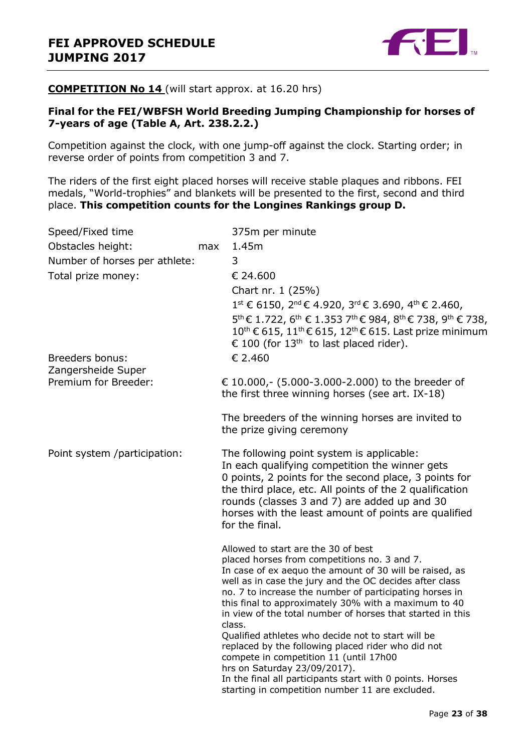

#### **COMPETITION No 14** (will start approx. at 16.20 hrs)

#### **Final for the FEI/WBFSH World Breeding Jumping Championship for horses of 7-years of age (Table A, Art. 238.2.2.)**

Competition against the clock, with one jump-off against the clock. Starting order; in reverse order of points from competition 3 and 7.

The riders of the first eight placed horses will receive stable plaques and ribbons. FEI medals, "World-trophies" and blankets will be presented to the first, second and third place. **This competition counts for the Longines Rankings group D.**

| Speed/Fixed time              |     | 375m per minute                                                                                                                                                                                                                                                                                                                                                                                                                                                                                                                                                                                                                                                                                            |
|-------------------------------|-----|------------------------------------------------------------------------------------------------------------------------------------------------------------------------------------------------------------------------------------------------------------------------------------------------------------------------------------------------------------------------------------------------------------------------------------------------------------------------------------------------------------------------------------------------------------------------------------------------------------------------------------------------------------------------------------------------------------|
| Obstacles height:             | max | 1.45m                                                                                                                                                                                                                                                                                                                                                                                                                                                                                                                                                                                                                                                                                                      |
| Number of horses per athlete: |     | 3                                                                                                                                                                                                                                                                                                                                                                                                                                                                                                                                                                                                                                                                                                          |
| Total prize money:            |     | € 24.600                                                                                                                                                                                                                                                                                                                                                                                                                                                                                                                                                                                                                                                                                                   |
|                               |     | Chart nr. 1 (25%)                                                                                                                                                                                                                                                                                                                                                                                                                                                                                                                                                                                                                                                                                          |
|                               |     | $1^{\text{st}}$ € 6150, 2 <sup>nd</sup> € 4.920, 3 <sup>rd</sup> € 3.690, 4 <sup>th</sup> € 2.460,                                                                                                                                                                                                                                                                                                                                                                                                                                                                                                                                                                                                         |
|                               |     | $5^{\text{th}}$ € 1.722, 6 <sup>th</sup> € 1.353 7 <sup>th</sup> € 984, 8 <sup>th</sup> € 738, 9 <sup>th</sup> € 738,                                                                                                                                                                                                                                                                                                                                                                                                                                                                                                                                                                                      |
|                               |     | $10^{\text{th}}$ € 615, 11 <sup>th</sup> € 615, 12 <sup>th</sup> € 615. Last prize minimum<br>€ 100 (for 13 <sup>th</sup> to last placed rider).                                                                                                                                                                                                                                                                                                                                                                                                                                                                                                                                                           |
| <b>Breeders bonus:</b>        |     | € 2.460                                                                                                                                                                                                                                                                                                                                                                                                                                                                                                                                                                                                                                                                                                    |
| Zangersheide Super            |     |                                                                                                                                                                                                                                                                                                                                                                                                                                                                                                                                                                                                                                                                                                            |
| Premium for Breeder:          |     | € 10.000,- (5.000-3.000-2.000) to the breeder of<br>the first three winning horses (see art. IX-18)                                                                                                                                                                                                                                                                                                                                                                                                                                                                                                                                                                                                        |
|                               |     | The breeders of the winning horses are invited to                                                                                                                                                                                                                                                                                                                                                                                                                                                                                                                                                                                                                                                          |
|                               |     | the prize giving ceremony                                                                                                                                                                                                                                                                                                                                                                                                                                                                                                                                                                                                                                                                                  |
| Point system /participation:  |     | The following point system is applicable:<br>In each qualifying competition the winner gets<br>0 points, 2 points for the second place, 3 points for<br>the third place, etc. All points of the 2 qualification<br>rounds (classes 3 and 7) are added up and 30<br>horses with the least amount of points are qualified<br>for the final.                                                                                                                                                                                                                                                                                                                                                                  |
|                               |     | Allowed to start are the 30 of best<br>placed horses from competitions no. 3 and 7.<br>In case of ex aequo the amount of 30 will be raised, as<br>well as in case the jury and the OC decides after class<br>no. 7 to increase the number of participating horses in<br>this final to approximately 30% with a maximum to 40<br>in view of the total number of horses that started in this<br>class.<br>Qualified athletes who decide not to start will be<br>replaced by the following placed rider who did not<br>compete in competition 11 (until 17h00<br>hrs on Saturday 23/09/2017).<br>In the final all participants start with 0 points. Horses<br>starting in competition number 11 are excluded. |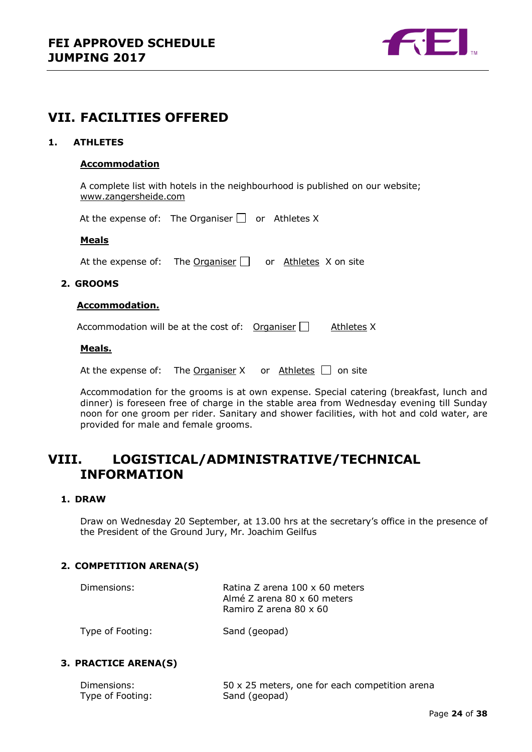

### <span id="page-23-0"></span>**VII. FACILITIES OFFERED**

#### <span id="page-23-1"></span>**1. ATHLETES**

#### **Accommodation**

A complete list with hotels in the neighbourhood is published on our website; [www.zangersheide.com](http://www.zangersheide.com/)

At the expense of: The Organiser  $\Box$  or Athletes X

#### **Meals**

At the expense of: The Organiser  $\Box$  or Athletes X on site

#### <span id="page-23-2"></span>**2. GROOMS**

#### **Accommodation.**

Accommodation will be at the cost of: Organiser  $\Box$  Athletes X

#### **Meals.**

At the expense of: The Organiser X or Athletes  $\Box$  on site

Accommodation for the grooms is at own expense. Special catering (breakfast, lunch and dinner) is foreseen free of charge in the stable area from Wednesday evening till Sunday noon for one groom per rider. Sanitary and shower facilities, with hot and cold water, are provided for male and female grooms.

### <span id="page-23-3"></span>**VIII. LOGISTICAL/ADMINISTRATIVE/TECHNICAL INFORMATION**

#### <span id="page-23-4"></span>**1. DRAW**

Draw on Wednesday 20 September, at 13.00 hrs at the secretary's office in the presence of the President of the Ground Jury, Mr. Joachim Geilfus

#### <span id="page-23-5"></span>**2. COMPETITION ARENA(S)**

| Dimensions: | Ratina Z arena 100 x 60 meters<br>Almé Z arena 80 x 60 meters |
|-------------|---------------------------------------------------------------|
|             | Ramiro Z arena 80 x 60                                        |

Type of Footing: Sand (geopad)

#### <span id="page-23-6"></span>**3. PRACTICE ARENA(S)**

| Dimensions:      | 50 x 25 meters, one for each competition arena |
|------------------|------------------------------------------------|
| Type of Footing: | Sand (geopad)                                  |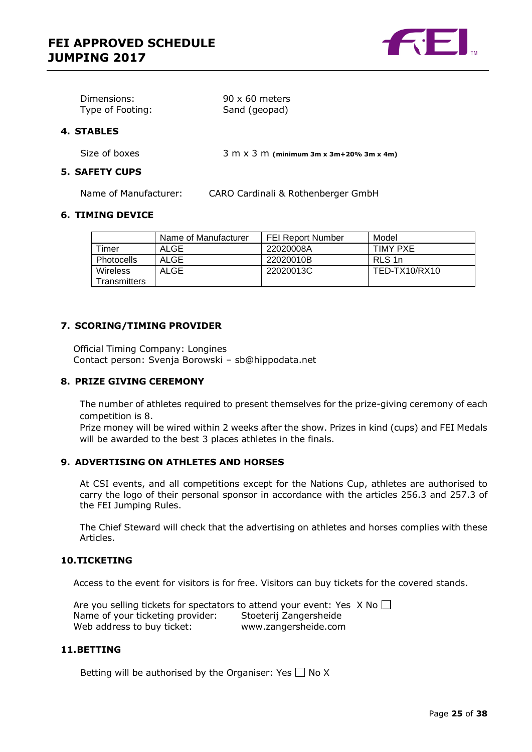

| Dimensions:      | $90 \times 60$ meters |
|------------------|-----------------------|
| Type of Footing: | Sand (geopad)         |

#### <span id="page-24-0"></span>**4. STABLES**

Size of boxes 3 m x 3 m **(minimum 3m x 3m+20% 3m x 4m)**

#### <span id="page-24-1"></span>**5. SAFETY CUPS**

Name of Manufacturer: CARO Cardinali & Rothenberger GmbH

#### <span id="page-24-2"></span>**6. TIMING DEVICE**

|                          | Name of Manufacturer | <b>FEI Report Number</b> | Model           |
|--------------------------|----------------------|--------------------------|-----------------|
| Timer                    | ALGE                 | 22020008A                | <b>TIMY PXE</b> |
| <b>Photocells</b>        | <b>ALGE</b>          | 22020010B                | RLS 1n          |
| Wireless<br>Transmitters | <b>ALGE</b>          | 22020013C                | TED-TX10/RX10   |

#### <span id="page-24-3"></span>**7. SCORING/TIMING PROVIDER**

Official Timing Company: Longines Contact person: Svenja Borowski – sb@hippodata.net

#### <span id="page-24-4"></span>**8. PRIZE GIVING CEREMONY**

The number of athletes required to present themselves for the prize-giving ceremony of each competition is 8.

Prize money will be wired within 2 weeks after the show. Prizes in kind (cups) and FEI Medals will be awarded to the best 3 places athletes in the finals.

#### <span id="page-24-5"></span>**9. ADVERTISING ON ATHLETES AND HORSES**

At CSI events, and all competitions except for the Nations Cup, athletes are authorised to carry the logo of their personal sponsor in accordance with the articles 256.3 and 257.3 of the FEI Jumping Rules.

The Chief Steward will check that the advertising on athletes and horses complies with these Articles.

#### <span id="page-24-6"></span>**10.TICKETING**

Access to the event for visitors is for free. Visitors can buy tickets for the covered stands.

Are you selling tickets for spectators to attend your event: Yes  $\overline{X}$  No  $\Box$ Name of your ticketing provider: Stoeterij Zangersheide Web address to buy ticket: www.zangersheide.com

#### <span id="page-24-7"></span>**11.BETTING**

Betting will be authorised by the Organiser: Yes  $\Box$  No X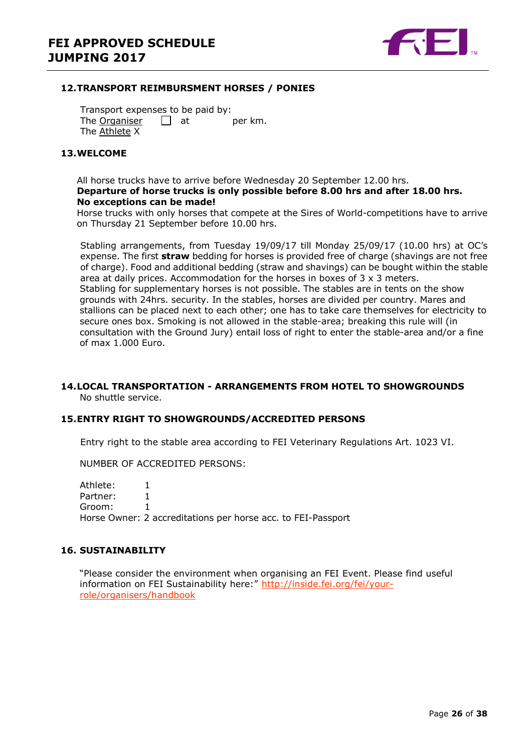

#### <span id="page-25-0"></span>**12.TRANSPORT REIMBURSMENT HORSES / PONIES**

Transport expenses to be paid by: The Organiser  $\Box$  at per km. The Athlete X

#### <span id="page-25-1"></span>**13.WELCOME**

#### All horse trucks have to arrive before Wednesday 20 September 12.00 hrs. **Departure of horse trucks is only possible before 8.00 hrs and after 18.00 hrs. No exceptions can be made!**

Horse trucks with only horses that compete at the Sires of World-competitions have to arrive on Thursday 21 September before 10.00 hrs.

Stabling arrangements, from Tuesday 19/09/17 till Monday 25/09/17 (10.00 hrs) at OC's expense. The first **straw** bedding for horses is provided free of charge (shavings are not free of charge). Food and additional bedding (straw and shavings) can be bought within the stable area at daily prices. Accommodation for the horses in boxes of 3 x 3 meters. Stabling for supplementary horses is not possible. The stables are in tents on the show grounds with 24hrs. security. In the stables, horses are divided per country. Mares and stallions can be placed next to each other; one has to take care themselves for electricity to secure ones box. Smoking is not allowed in the stable-area; breaking this rule will (in consultation with the Ground Jury) entail loss of right to enter the stable-area and/or a fine of max 1.000 Euro.

#### <span id="page-25-2"></span>**14.LOCAL TRANSPORTATION - ARRANGEMENTS FROM HOTEL TO SHOWGROUNDS** No shuttle service.

#### <span id="page-25-3"></span>**15.ENTRY RIGHT TO SHOWGROUNDS/ACCREDITED PERSONS**

Entry right to the stable area according to FEI Veterinary Regulations Art. 1023 VI.

NUMBER OF ACCREDITED PERSONS:

Athlete: 1 Partner: 1 Groom: 1 Horse Owner: 2 accreditations per horse acc. to FEI-Passport

#### <span id="page-25-4"></span>**16. SUSTAINABILITY**

"Please consider the environment when organising an FEI Event. Please find useful information on FEI Sustainability here:" [http://inside.fei.org/fei/your](http://inside.fei.org/fei/your-role/organisers/handbook)[role/organisers/handbook](http://inside.fei.org/fei/your-role/organisers/handbook)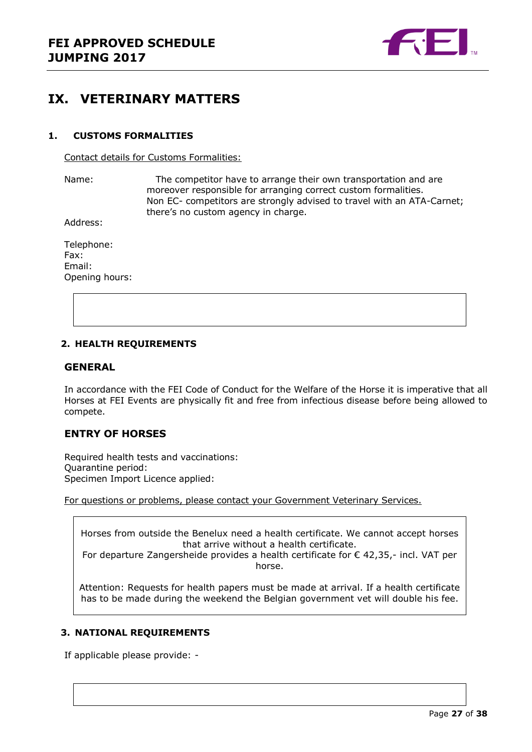

### <span id="page-26-0"></span>**IX. VETERINARY MATTERS**

#### <span id="page-26-1"></span>**1. CUSTOMS FORMALITIES**

Contact details for Customs Formalities:

Name: The competitor have to arrange their own transportation and are moreover responsible for arranging correct custom formalities. Non EC- competitors are strongly advised to travel with an ATA-Carnet; there's no custom agency in charge.

Address:

Telephone: Fax: Email: Opening hours:

#### <span id="page-26-2"></span>**2. HEALTH REQUIREMENTS**

#### **GENERAL**

In accordance with the FEI Code of Conduct for the Welfare of the Horse it is imperative that all Horses at FEI Events are physically fit and free from infectious disease before being allowed to compete.

#### **ENTRY OF HORSES**

Required health tests and vaccinations: Quarantine period: Specimen Import Licence applied:

For questions or problems, please contact your Government Veterinary Services.

Horses from outside the Benelux need a health certificate. We cannot accept horses that arrive without a health certificate.

For departure Zangersheide provides a health certificate for  $\epsilon$  42,35,- incl. VAT per horse.

Attention: Requests for health papers must be made at arrival. If a health certificate has to be made during the weekend the Belgian government vet will double his fee.

#### <span id="page-26-3"></span>**3. NATIONAL REQUIREMENTS**

If applicable please provide: -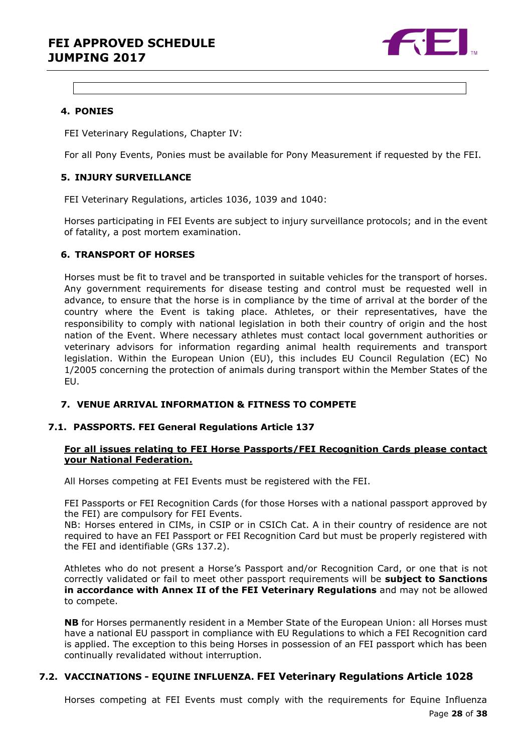### **FEI APPROVED SCHEDULE JUMPING 2017**



#### <span id="page-27-0"></span>**4. PONIES**

FEI Veterinary Regulations, Chapter IV:

For all Pony Events, Ponies must be available for Pony Measurement if requested by the FEI.

#### <span id="page-27-1"></span>**5. INJURY SURVEILLANCE**

FEI Veterinary Regulations, articles 1036, 1039 and 1040:

Horses participating in FEI Events are subject to injury surveillance protocols; and in the event of fatality, a post mortem examination.

#### <span id="page-27-2"></span>**6. TRANSPORT OF HORSES**

Horses must be fit to travel and be transported in suitable vehicles for the transport of horses. Any government requirements for disease testing and control must be requested well in advance, to ensure that the horse is in compliance by the time of arrival at the border of the country where the Event is taking place. Athletes, or their representatives, have the responsibility to comply with national legislation in both their country of origin and the host nation of the Event. Where necessary athletes must contact local government authorities or veterinary advisors for information regarding animal health requirements and transport legislation. Within the European Union (EU), this includes EU Council Regulation (EC) No 1/2005 concerning the protection of animals during transport within the Member States of the EU.

#### <span id="page-27-3"></span>**7. VENUE ARRIVAL INFORMATION & FITNESS TO COMPETE**

#### **7.1. PASSPORTS. FEI General Regulations Article 137**

#### **For all issues relating to FEI Horse Passports/FEI Recognition Cards please contact your National Federation.**

All Horses competing at FEI Events must be registered with the FEI.

FEI Passports or FEI Recognition Cards (for those Horses with a national passport approved by the FEI) are compulsory for FEI Events.

NB: Horses entered in CIMs, in CSIP or in CSICh Cat. A in their country of residence are not required to have an FEI Passport or FEI Recognition Card but must be properly registered with the FEI and identifiable (GRs 137.2).

Athletes who do not present a Horse's Passport and/or Recognition Card, or one that is not correctly validated or fail to meet other passport requirements will be **subject to Sanctions in accordance with Annex II of the FEI Veterinary Regulations** and may not be allowed to compete.

**NB** for Horses permanently resident in a Member State of the European Union: all Horses must have a national EU passport in compliance with EU Regulations to which a FEI Recognition card is applied. The exception to this being Horses in possession of an FEI passport which has been continually revalidated without interruption.

#### **7.2. VACCINATIONS - EQUINE INFLUENZA. FEI Veterinary Regulations Article 1028**

Page **28** of **38** Horses competing at FEI Events must comply with the requirements for Equine Influenza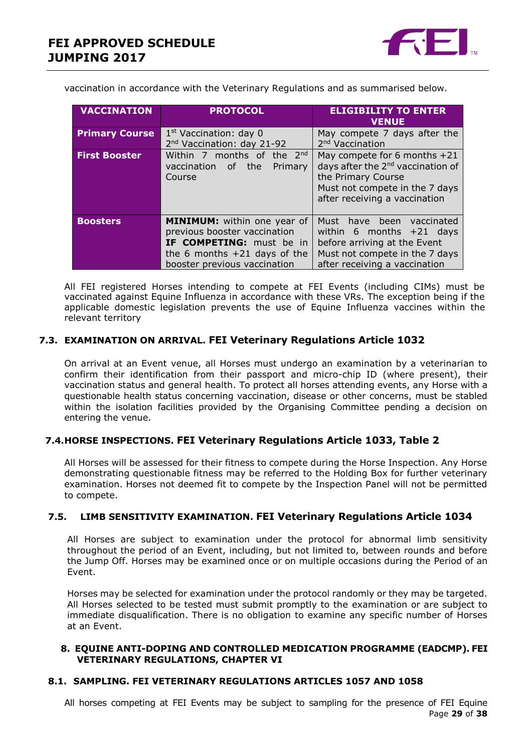

vaccination in accordance with the Veterinary Regulations and as summarised below.

| <b>VACCINATION</b>    | <b>PROTOCOL</b>                                                                                                                                                  | <b>ELIGIBILITY TO ENTER</b><br><b>VENUE</b>                                                                                                                              |
|-----------------------|------------------------------------------------------------------------------------------------------------------------------------------------------------------|--------------------------------------------------------------------------------------------------------------------------------------------------------------------------|
| <b>Primary Course</b> | $1st$ Vaccination: day 0<br>2 <sup>nd</sup> Vaccination: day 21-92                                                                                               | May compete 7 days after the<br>2 <sup>nd</sup> Vaccination                                                                                                              |
| <b>First Booster</b>  | Within 7 months of the $2^{nd}$<br>vaccination of the<br>Primary<br>Course                                                                                       | May compete for 6 months $+21$<br>days after the 2 <sup>nd</sup> vaccination of<br>the Primary Course<br>Must not compete in the 7 days<br>after receiving a vaccination |
| <b>Boosters</b>       | <b>MINIMUM:</b> within one year of<br>previous booster vaccination<br>IF COMPETING: must be in<br>the 6 months $+21$ days of the<br>booster previous vaccination | Must have been<br>vaccinated<br>within 6 months $+21$ days<br>before arriving at the Event<br>Must not compete in the 7 days<br>after receiving a vaccination            |

All FEI registered Horses intending to compete at FEI Events (including CIMs) must be vaccinated against Equine Influenza in accordance with these VRs. The exception being if the applicable domestic legislation prevents the use of Equine Influenza vaccines within the relevant territory

#### **7.3. EXAMINATION ON ARRIVAL. FEI Veterinary Regulations Article 1032**

On arrival at an Event venue, all Horses must undergo an examination by a veterinarian to confirm their identification from their passport and micro-chip ID (where present), their vaccination status and general health. To protect all horses attending events, any Horse with a questionable health status concerning vaccination, disease or other concerns, must be stabled within the isolation facilities provided by the Organising Committee pending a decision on entering the venue.

#### **7.4.HORSE INSPECTIONS. FEI Veterinary Regulations Article 1033, Table 2**

All Horses will be assessed for their fitness to compete during the Horse Inspection. Any Horse demonstrating questionable fitness may be referred to the Holding Box for further veterinary examination. Horses not deemed fit to compete by the Inspection Panel will not be permitted to compete.

#### **7.5. LIMB SENSITIVITY EXAMINATION. FEI Veterinary Regulations Article 1034**

All Horses are subject to examination under the protocol for abnormal limb sensitivity throughout the period of an Event, including, but not limited to, between rounds and before the Jump Off. Horses may be examined once or on multiple occasions during the Period of an Event.

Horses may be selected for examination under the protocol randomly or they may be targeted. All Horses selected to be tested must submit promptly to the examination or are subject to immediate disqualification. There is no obligation to examine any specific number of Horses at an Event.

#### <span id="page-28-0"></span>**8. EQUINE ANTI-DOPING AND CONTROLLED MEDICATION PROGRAMME (EADCMP). FEI VETERINARY REGULATIONS, CHAPTER VI**

#### **8.1. SAMPLING. FEI VETERINARY REGULATIONS ARTICLES 1057 AND 1058**

Page **29** of **38** All horses competing at FEI Events may be subject to sampling for the presence of FEI Equine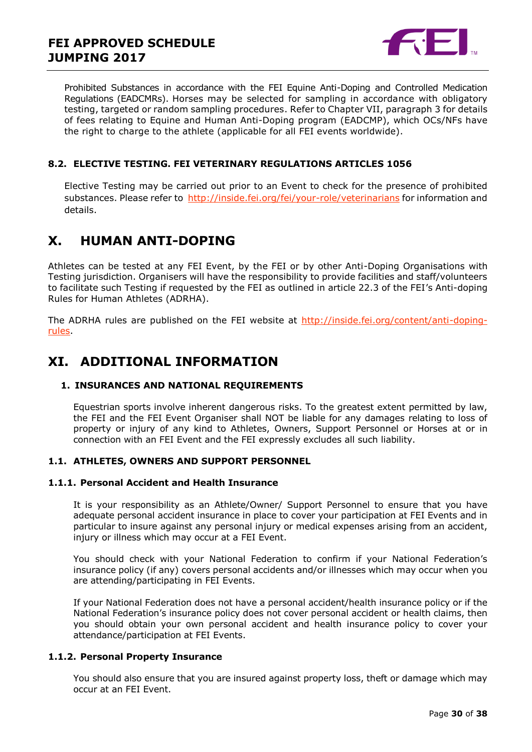

Prohibited Substances in accordance with the FEI Equine Anti-Doping and Controlled Medication Regulations (EADCMRs). Horses may be selected for sampling in accordance with obligatory testing, targeted or random sampling procedures. Refer to Chapter VII, paragraph 3 for details of fees relating to Equine and Human Anti-Doping program (EADCMP), which OCs/NFs have the right to charge to the athlete (applicable for all FEI events worldwide).

#### **8.2. ELECTIVE TESTING. FEI VETERINARY REGULATIONS ARTICLES 1056**

Elective Testing may be carried out prior to an Event to check for the presence of prohibited substances. Please refer to<http://inside.fei.org/fei/your-role/veterinarians> for information and details.

### <span id="page-29-0"></span>**X. HUMAN ANTI-DOPING**

Athletes can be tested at any FEI Event, by the FEI or by other Anti-Doping Organisations with Testing jurisdiction. Organisers will have the responsibility to provide facilities and staff/volunteers to facilitate such Testing if requested by the FEI as outlined in article 22.3 of the FEI's Anti-doping Rules for Human Athletes (ADRHA).

The ADRHA rules are published on the FEI website at [http://inside.fei.org/content/anti-doping](http://inside.fei.org/content/anti-doping-rules)[rules.](http://inside.fei.org/content/anti-doping-rules)

### <span id="page-29-1"></span>**XI. ADDITIONAL INFORMATION**

#### <span id="page-29-2"></span>**1. INSURANCES AND NATIONAL REQUIREMENTS**

Equestrian sports involve inherent dangerous risks. To the greatest extent permitted by law, the FEI and the FEI Event Organiser shall NOT be liable for any damages relating to loss of property or injury of any kind to Athletes, Owners, Support Personnel or Horses at or in connection with an FEI Event and the FEI expressly excludes all such liability.

#### **1.1. ATHLETES, OWNERS AND SUPPORT PERSONNEL**

#### **1.1.1. Personal Accident and Health Insurance**

It is your responsibility as an Athlete/Owner/ Support Personnel to ensure that you have adequate personal accident insurance in place to cover your participation at FEI Events and in particular to insure against any personal injury or medical expenses arising from an accident, injury or illness which may occur at a FEI Event.

You should check with your National Federation to confirm if your National Federation's insurance policy (if any) covers personal accidents and/or illnesses which may occur when you are attending/participating in FEI Events.

If your National Federation does not have a personal accident/health insurance policy or if the National Federation's insurance policy does not cover personal accident or health claims, then you should obtain your own personal accident and health insurance policy to cover your attendance/participation at FEI Events.

#### **1.1.2. Personal Property Insurance**

You should also ensure that you are insured against property loss, theft or damage which may occur at an FEI Event.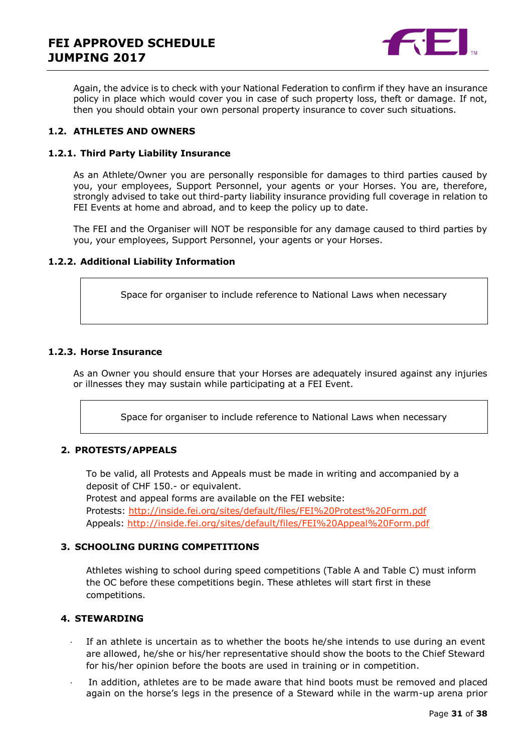

Again, the advice is to check with your National Federation to confirm if they have an insurance policy in place which would cover you in case of such property loss, theft or damage. If not, then you should obtain your own personal property insurance to cover such situations.

#### **1.2. ATHLETES AND OWNERS**

#### **1.2.1. Third Party Liability Insurance**

As an Athlete/Owner you are personally responsible for damages to third parties caused by you, your employees, Support Personnel, your agents or your Horses. You are, therefore, strongly advised to take out third-party liability insurance providing full coverage in relation to FEI Events at home and abroad, and to keep the policy up to date.

The FEI and the Organiser will NOT be responsible for any damage caused to third parties by you, your employees, Support Personnel, your agents or your Horses.

#### **1.2.2. Additional Liability Information**

Space for organiser to include reference to National Laws when necessary

#### **1.2.3. Horse Insurance**

As an Owner you should ensure that your Horses are adequately insured against any injuries or illnesses they may sustain while participating at a FEI Event.

Space for organiser to include reference to National Laws when necessary

#### <span id="page-30-0"></span>**2. PROTESTS/APPEALS**

To be valid, all Protests and Appeals must be made in writing and accompanied by a deposit of CHF 150.- or equivalent.

Protest and appeal forms are available on the FEI website: Protests:<http://inside.fei.org/sites/default/files/FEI%20Protest%20Form.pdf> Appeals:<http://inside.fei.org/sites/default/files/FEI%20Appeal%20Form.pdf>

#### <span id="page-30-1"></span>**3. SCHOOLING DURING COMPETITIONS**

Athletes wishing to school during speed competitions (Table A and Table C) must inform the OC before these competitions begin. These athletes will start first in these competitions.

#### <span id="page-30-2"></span>**4. STEWARDING**

- If an athlete is uncertain as to whether the boots he/she intends to use during an event are allowed, he/she or his/her representative should show the boots to the Chief Steward for his/her opinion before the boots are used in training or in competition.
- In addition, athletes are to be made aware that hind boots must be removed and placed again on the horse's legs in the presence of a Steward while in the warm-up arena prior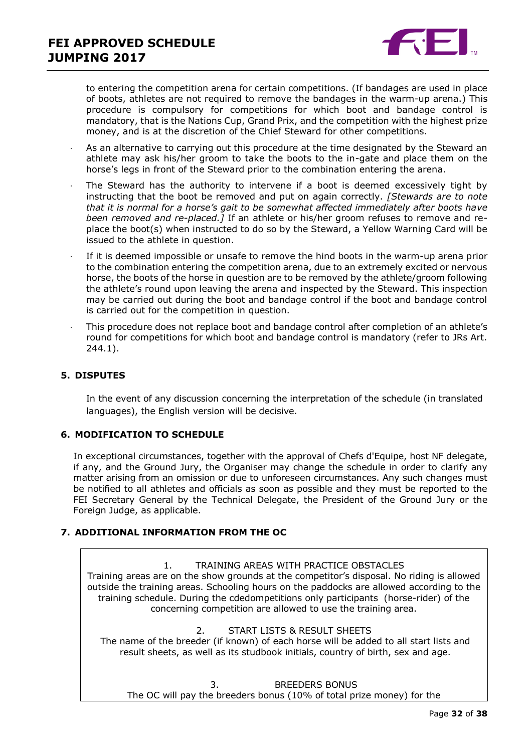

to entering the competition arena for certain competitions. (If bandages are used in place of boots, athletes are not required to remove the bandages in the warm-up arena.) This procedure is compulsory for competitions for which boot and bandage control is mandatory, that is the Nations Cup, Grand Prix, and the competition with the highest prize money, and is at the discretion of the Chief Steward for other competitions.

- As an alternative to carrying out this procedure at the time designated by the Steward an athlete may ask his/her groom to take the boots to the in-gate and place them on the horse's legs in front of the Steward prior to the combination entering the arena.
- The Steward has the authority to intervene if a boot is deemed excessively tight by instructing that the boot be removed and put on again correctly. *[Stewards are to note that it is normal for a horse's gait to be somewhat affected immediately after boots have been removed and re-placed.]* If an athlete or his/her groom refuses to remove and replace the boot(s) when instructed to do so by the Steward, a Yellow Warning Card will be issued to the athlete in question.
- If it is deemed impossible or unsafe to remove the hind boots in the warm-up arena prior to the combination entering the competition arena, due to an extremely excited or nervous horse, the boots of the horse in question are to be removed by the athlete/groom following the athlete's round upon leaving the arena and inspected by the Steward. This inspection may be carried out during the boot and bandage control if the boot and bandage control is carried out for the competition in question.
- · This procedure does not replace boot and bandage control after completion of an athlete's round for competitions for which boot and bandage control is mandatory (refer to JRs Art. 244.1).

#### <span id="page-31-0"></span>**5. DISPUTES**

In the event of any discussion concerning the interpretation of the schedule (in translated languages), the English version will be decisive.

#### <span id="page-31-1"></span>**6. MODIFICATION TO SCHEDULE**

In exceptional circumstances, together with the approval of Chefs d'Equipe, host NF delegate, if any, and the Ground Jury, the Organiser may change the schedule in order to clarify any matter arising from an omission or due to unforeseen circumstances. Any such changes must be notified to all athletes and officials as soon as possible and they must be reported to the FEI Secretary General by the Technical Delegate, the President of the Ground Jury or the Foreign Judge, as applicable.

#### <span id="page-31-2"></span>**7. ADDITIONAL INFORMATION FROM THE OC**

1. TRAINING AREAS WITH PRACTICE OBSTACLES Training areas are on the show grounds at the competitor's disposal. No riding is allowed outside the training areas. Schooling hours on the paddocks are allowed according to the training schedule. During the cdedompetitions only participants (horse-rider) of the concerning competition are allowed to use the training area.

2. START LISTS & RESULT SHEETS

The name of the breeder (if known) of each horse will be added to all start lists and result sheets, as well as its studbook initials, country of birth, sex and age.

3. BREEDERS BONUS The OC will pay the breeders bonus (10% of total prize money) for the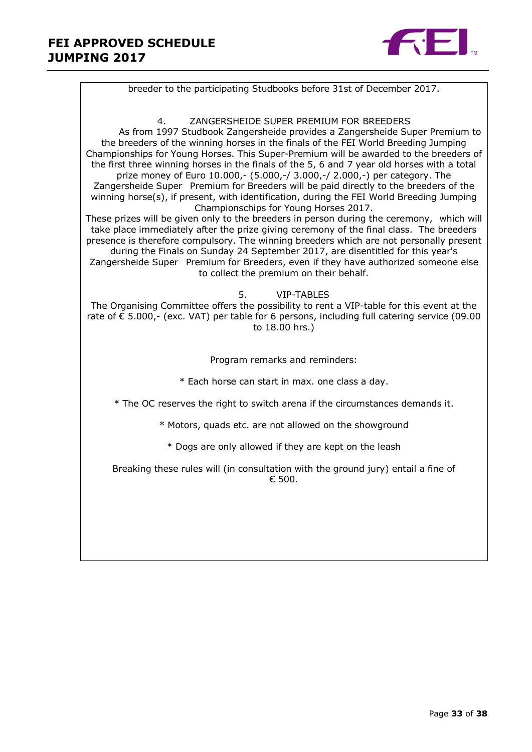

breeder to the participating Studbooks before 31st of December 2017. 4. ZANGERSHEIDE SUPER PREMIUM FOR BREEDERS As from 1997 Studbook Zangersheide provides a Zangersheide Super Premium to the breeders of the winning horses in the finals of the FEI World Breeding Jumping Championships for Young Horses. This Super-Premium will be awarded to the breeders of the first three winning horses in the finals of the 5, 6 and 7 year old horses with a total prize money of Euro 10.000,- (5.000,-/ 3.000,-/ 2.000,-) per category. The Zangersheide Super Premium for Breeders will be paid directly to the breeders of the winning horse(s), if present, with identification, during the FEI World Breeding Jumping Championschips for Young Horses 2017. These prizes will be given only to the breeders in person during the ceremony, which will take place immediately after the prize giving ceremony of the final class. The breeders presence is therefore compulsory. The winning breeders which are not personally present during the Finals on Sunday 24 September 2017, are disentitled for this year's Zangersheide Super Premium for Breeders, even if they have authorized someone else to collect the premium on their behalf. 5. VIP-TABLES The Organising Committee offers the possibility to rent a VIP-table for this event at the rate of € 5.000,- (exc. VAT) per table for 6 persons, including full catering service (09.00 to 18.00 hrs.) Program remarks and reminders: \* Each horse can start in max. one class a day. \* The OC reserves the right to switch arena if the circumstances demands it. \* Motors, quads etc. are not allowed on the showground \* Dogs are only allowed if they are kept on the leash Breaking these rules will (in consultation with the ground jury) entail a fine of  $€500.$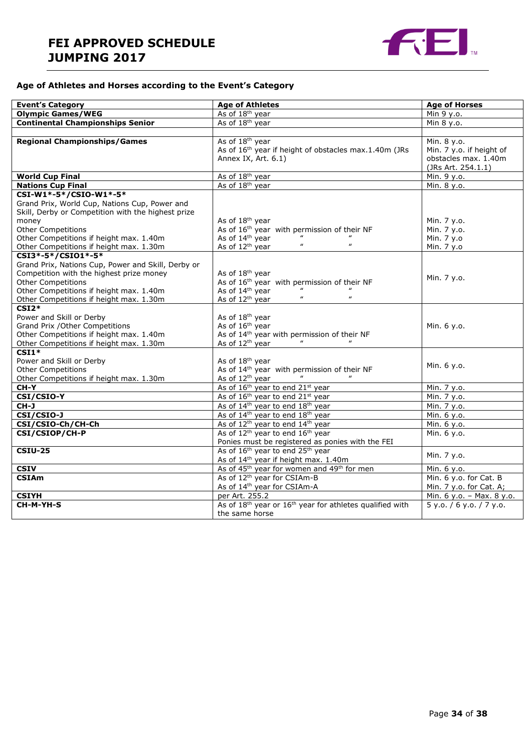### **FEI APPROVED SCHEDULE JUMPING 2017**



#### **Age of Athletes and Horses according to the Event's Category**

| <b>Event's Category</b>                                                                                                                                                                                                                                   | <b>Age of Athletes</b>                                                                                                                                                                           | <b>Age of Horses</b>                                                                  |
|-----------------------------------------------------------------------------------------------------------------------------------------------------------------------------------------------------------------------------------------------------------|--------------------------------------------------------------------------------------------------------------------------------------------------------------------------------------------------|---------------------------------------------------------------------------------------|
| <b>Olympic Games/WEG</b>                                                                                                                                                                                                                                  | As of 18 <sup>th</sup> year                                                                                                                                                                      | Min 9 y.o.                                                                            |
| <b>Continental Championships Senior</b>                                                                                                                                                                                                                   | As of 18 <sup>th</sup> year                                                                                                                                                                      | Min 8 y.o.                                                                            |
|                                                                                                                                                                                                                                                           |                                                                                                                                                                                                  |                                                                                       |
| <b>Regional Championships/Games</b>                                                                                                                                                                                                                       | As of 18 <sup>th</sup> year<br>As of 16 <sup>th</sup> year if height of obstacles max.1.40m (JRs<br>Annex IX, Art. 6.1)                                                                          | Min. 8 y.o.<br>Min. 7 y.o. if height of<br>obstacles max. 1.40m<br>(JRs Art. 254.1.1) |
| <b>World Cup Final</b>                                                                                                                                                                                                                                    | As of 18 <sup>th</sup> year                                                                                                                                                                      | Min. 9 y.o.                                                                           |
| <b>Nations Cup Final</b>                                                                                                                                                                                                                                  | As of 18 <sup>th</sup> year                                                                                                                                                                      | Min. 8 y.o.                                                                           |
| CSI-W1*-5*/CSIO-W1*-5*<br>Grand Prix, World Cup, Nations Cup, Power and<br>Skill, Derby or Competition with the highest prize<br>money<br><b>Other Competitions</b><br>Other Competitions if height max. 1.40m<br>Other Competitions if height max. 1.30m | As of 18 <sup>th</sup> year<br>As of 16 <sup>th</sup> year with permission of their NF<br>As of 14 <sup>th</sup> year<br>$\boldsymbol{\mu}$<br>$\boldsymbol{\mu}$<br>As of 12 <sup>th</sup> year | Min. 7 y.o.<br>Min. 7 y.o.<br>Min. 7 y.o<br>Min. 7 y.o                                |
| CSI3*-5*/CSI01*-5*                                                                                                                                                                                                                                        |                                                                                                                                                                                                  |                                                                                       |
| Grand Prix, Nations Cup, Power and Skill, Derby or<br>Competition with the highest prize money<br><b>Other Competitions</b><br>Other Competitions if height max. 1.40m<br>Other Competitions if height max. 1.30m                                         | As of 18 <sup>th</sup> year<br>As of 16 <sup>th</sup> year with permission of their NF<br>As of 14th year<br>$\boldsymbol{\mathit{u}}$<br>$\boldsymbol{\mu}$<br>As of 12 <sup>th</sup> year      | Min. 7 y.o.                                                                           |
| $CSI2*$<br>Power and Skill or Derby<br>Grand Prix / Other Competitions<br>Other Competitions if height max. 1.40m<br>Other Competitions if height max. 1.30m                                                                                              | As of 18 <sup>th</sup> year<br>As of 16 <sup>th</sup> year<br>As of 14 <sup>th</sup> year with permission of their NF<br>As of 12 <sup>th</sup> year                                             | Min. 6 y.o.                                                                           |
| $CSI1*$<br>Power and Skill or Derby<br><b>Other Competitions</b><br>Other Competitions if height max. 1.30m                                                                                                                                               | As of 18 <sup>th</sup> year<br>As of 14 <sup>th</sup> year with permission of their NF<br>As of 12 <sup>th</sup> year                                                                            | Min. 6 y.o.                                                                           |
| <b>CH-Y</b>                                                                                                                                                                                                                                               | As of 16 <sup>th</sup> year to end 21 <sup>st</sup> year                                                                                                                                         | Min. 7 y.o.                                                                           |
| CSI/CSIO-Y                                                                                                                                                                                                                                                | As of 16 <sup>th</sup> year to end 21 <sup>st</sup> year                                                                                                                                         | Min. 7 y.o.                                                                           |
| CH-J                                                                                                                                                                                                                                                      | As of 14 <sup>th</sup> year to end 18 <sup>th</sup> year                                                                                                                                         | Min. 7 y.o.                                                                           |
| CSI/CSIO-J                                                                                                                                                                                                                                                | As of 14 <sup>th</sup> year to end 18 <sup>th</sup> year                                                                                                                                         | Min. 6 y.o.                                                                           |
| CSI/CSIO-Ch/CH-Ch                                                                                                                                                                                                                                         | As of 12 <sup>th</sup> year to end 14 <sup>th</sup> year                                                                                                                                         | Min. 6 y.o.                                                                           |
| CSI/CSIOP/CH-P                                                                                                                                                                                                                                            | As of 12 <sup>th</sup> year to end 16 <sup>th</sup> year                                                                                                                                         | Min. 6 y.o.                                                                           |
|                                                                                                                                                                                                                                                           | Ponies must be registered as ponies with the FEI                                                                                                                                                 |                                                                                       |
| <b>CSIU-25</b>                                                                                                                                                                                                                                            | As of 16 <sup>th</sup> year to end 25 <sup>th</sup> year<br>As of 14 <sup>th</sup> year if height max. 1.40m                                                                                     | Min. 7 y.o.                                                                           |
| <b>CSIV</b>                                                                                                                                                                                                                                               | As of 45 <sup>th</sup> year for women and 49 <sup>th</sup> for men                                                                                                                               | Min. 6 y.o.                                                                           |
| <b>CSIAm</b>                                                                                                                                                                                                                                              | As of 12 <sup>th</sup> year for CSIAm-B<br>As of 14 <sup>th</sup> year for CSIAm-A                                                                                                               | Min. 6 y.o. for Cat. B<br>Min. 7 y.o. for Cat. A;                                     |
| <b>CSIYH</b>                                                                                                                                                                                                                                              | per Art. 255.2                                                                                                                                                                                   | Min. 6 y.o. - Max. 8 y.o.                                                             |
| CH-M-YH-S                                                                                                                                                                                                                                                 | As of 18 <sup>th</sup> year or 16 <sup>th</sup> year for athletes qualified with<br>the same horse                                                                                               | 5 y.0. / 6 y.0. / 7 y.0.                                                              |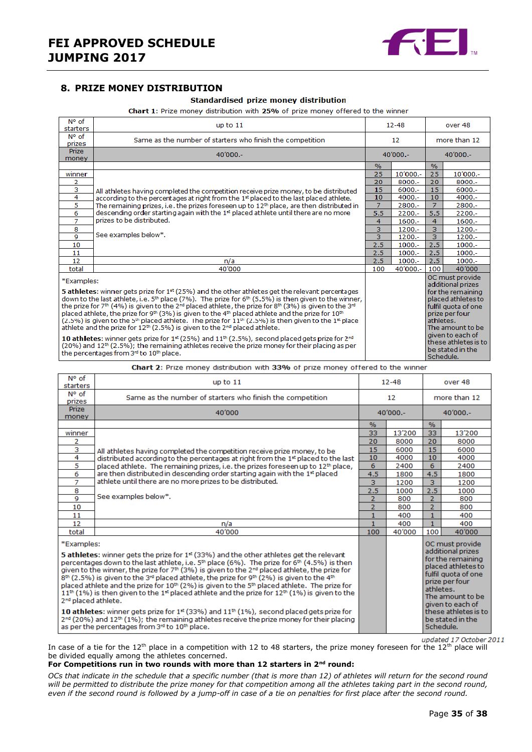

#### <span id="page-34-0"></span>**8. PRIZE MONEY DISTRIBUTION**

#### Standardised prize money distribution

Chart 1: Prize money distribution with 25% of prize money offered to the winner

| N° of<br>starters                                                                                                                                                                                                                                                                                                                                                                                                                                                                                                                                                                                                                                                                                                                                                                                                                                                                                                                                                                                                                                  | up to $11$                                                                                           |                | $12 - 48$  |                        | over 48                                                                                                                                                                                                      |  |
|----------------------------------------------------------------------------------------------------------------------------------------------------------------------------------------------------------------------------------------------------------------------------------------------------------------------------------------------------------------------------------------------------------------------------------------------------------------------------------------------------------------------------------------------------------------------------------------------------------------------------------------------------------------------------------------------------------------------------------------------------------------------------------------------------------------------------------------------------------------------------------------------------------------------------------------------------------------------------------------------------------------------------------------------------|------------------------------------------------------------------------------------------------------|----------------|------------|------------------------|--------------------------------------------------------------------------------------------------------------------------------------------------------------------------------------------------------------|--|
| $N^{\circ}$ of<br>prizes                                                                                                                                                                                                                                                                                                                                                                                                                                                                                                                                                                                                                                                                                                                                                                                                                                                                                                                                                                                                                           | Same as the number of starters who finish the competition<br>$12 \overline{ }$                       |                |            | more than 12           |                                                                                                                                                                                                              |  |
| <b>Prize</b><br>money                                                                                                                                                                                                                                                                                                                                                                                                                                                                                                                                                                                                                                                                                                                                                                                                                                                                                                                                                                                                                              | $40'000 -$<br>$40'000 -$                                                                             |                |            | $40'000 -$             |                                                                                                                                                                                                              |  |
|                                                                                                                                                                                                                                                                                                                                                                                                                                                                                                                                                                                                                                                                                                                                                                                                                                                                                                                                                                                                                                                    |                                                                                                      | $\frac{9}{6}$  |            | $\%$                   |                                                                                                                                                                                                              |  |
| winner                                                                                                                                                                                                                                                                                                                                                                                                                                                                                                                                                                                                                                                                                                                                                                                                                                                                                                                                                                                                                                             |                                                                                                      | 25             | $10'000 -$ | 25                     | $10'000 -$                                                                                                                                                                                                   |  |
| 2                                                                                                                                                                                                                                                                                                                                                                                                                                                                                                                                                                                                                                                                                                                                                                                                                                                                                                                                                                                                                                                  |                                                                                                      | 20             | 8000 .-    | 20                     | $8000 -$                                                                                                                                                                                                     |  |
| з                                                                                                                                                                                                                                                                                                                                                                                                                                                                                                                                                                                                                                                                                                                                                                                                                                                                                                                                                                                                                                                  | All athletes having completed the competition receive prize money, to be distributed                 | 15             | $6000 -$   | 15                     | $6000 -$                                                                                                                                                                                                     |  |
| 4                                                                                                                                                                                                                                                                                                                                                                                                                                                                                                                                                                                                                                                                                                                                                                                                                                                                                                                                                                                                                                                  | according to the percentages at right from the 1 <sup>st</sup> placed to the last placed athlete.    | 10             | 4000 .-    | 10                     | $4000 -$                                                                                                                                                                                                     |  |
| 5                                                                                                                                                                                                                                                                                                                                                                                                                                                                                                                                                                                                                                                                                                                                                                                                                                                                                                                                                                                                                                                  | The remaining prizes, i.e. the prizes foreseen up to 12 <sup>th</sup> place, are then distributed in | $\overline{7}$ | 2800 .-    | $\overline{7}$         | 2800 .-                                                                                                                                                                                                      |  |
| 6                                                                                                                                                                                                                                                                                                                                                                                                                                                                                                                                                                                                                                                                                                                                                                                                                                                                                                                                                                                                                                                  | descending order starting again with the 1 <sup>st</sup> placed athlete until there are no more      | 5.5            | $2200 -$   | 5.5                    | $2200 -$                                                                                                                                                                                                     |  |
| $\overline{7}$                                                                                                                                                                                                                                                                                                                                                                                                                                                                                                                                                                                                                                                                                                                                                                                                                                                                                                                                                                                                                                     | prizes to be distributed.                                                                            | 4              | $1600 -$   | $\overline{4}$         | $1600 -$                                                                                                                                                                                                     |  |
| 8                                                                                                                                                                                                                                                                                                                                                                                                                                                                                                                                                                                                                                                                                                                                                                                                                                                                                                                                                                                                                                                  |                                                                                                      | 3              | $1200 -$   | $\overline{3}$         | $1200 -$                                                                                                                                                                                                     |  |
| 9                                                                                                                                                                                                                                                                                                                                                                                                                                                                                                                                                                                                                                                                                                                                                                                                                                                                                                                                                                                                                                                  | See examples below*.                                                                                 | 3              | $1200 -$   | $\overline{3}$         | 1200.-                                                                                                                                                                                                       |  |
| 10                                                                                                                                                                                                                                                                                                                                                                                                                                                                                                                                                                                                                                                                                                                                                                                                                                                                                                                                                                                                                                                 |                                                                                                      | 2.5            | $1000 -$   | 2.5                    | $1000 -$                                                                                                                                                                                                     |  |
| 11                                                                                                                                                                                                                                                                                                                                                                                                                                                                                                                                                                                                                                                                                                                                                                                                                                                                                                                                                                                                                                                 |                                                                                                      | 2.5            | $1000.-$   | 2.5                    | $1000 -$                                                                                                                                                                                                     |  |
| 12                                                                                                                                                                                                                                                                                                                                                                                                                                                                                                                                                                                                                                                                                                                                                                                                                                                                                                                                                                                                                                                 | n/a                                                                                                  | 2.5            | $1000.-$   | 2.5                    | $1000.-$                                                                                                                                                                                                     |  |
| total                                                                                                                                                                                                                                                                                                                                                                                                                                                                                                                                                                                                                                                                                                                                                                                                                                                                                                                                                                                                                                              | 40'000                                                                                               | 100            | 40'000 .-  | 100                    | 40'000                                                                                                                                                                                                       |  |
| *Examples:<br><b>5 athletes:</b> winner gets prize for $1st$ (25%) and the other athletes get the relevant percentages<br>down to the last athlete, i.e. $5th$ place (7%). The prize for $6th$ (5.5%) is then given to the winner,<br>the prize for 7 <sup>th</sup> (4%) is given to the 2 <sup>nd</sup> placed athlete, the prize for 8 <sup>th</sup> (3%) is given to the 3 <sup>nd</sup><br>placed athlete, the prize for 9 <sup>th</sup> (3%) is given to the 4 <sup>th</sup> placed athlete and the prize for 10 <sup>th</sup><br>$(2.5\%)$ is given to the 5 <sup>th</sup> placed athlete. The prize for $11th$ (2.5%) is then given to the 1 <sup>st</sup> place<br>athlete and the prize for $12^{th}$ (2.5%) is given to the $2^{nd}$ placed athlete.<br>10 athletes: winner gets prize for $1st$ (25%) and $11th$ (2.5%), second placed gets prize for $2nd$<br>$(20%)$ and $12th$ $(2.5%)$ ; the remaining athletes receive the prize money for their placing as per<br>the percentages from 3 <sup>rd</sup> to 10 <sup>th</sup> place. |                                                                                                      |                |            | athletes.<br>Schedule. | OC must provide<br>additional prizes<br>for the remaining<br>placed athletes to<br>fulfil quota of one<br>prize per four<br>The amount to be<br>given to each of<br>these athletes is to<br>be stated in the |  |

Chart 2: Prize money distribution with 33% of prize money offered to the winner

| N° of<br>starters                                                                                                                                                                                                                                                                                                                                                                                                                                                                                                                                                                                                                                                                                                                                                                             | up to $11$                                                                                   |                | $12 - 48$ |                | over 48                                                                                                                                                                                  |  |
|-----------------------------------------------------------------------------------------------------------------------------------------------------------------------------------------------------------------------------------------------------------------------------------------------------------------------------------------------------------------------------------------------------------------------------------------------------------------------------------------------------------------------------------------------------------------------------------------------------------------------------------------------------------------------------------------------------------------------------------------------------------------------------------------------|----------------------------------------------------------------------------------------------|----------------|-----------|----------------|------------------------------------------------------------------------------------------------------------------------------------------------------------------------------------------|--|
| N° of<br>prizes                                                                                                                                                                                                                                                                                                                                                                                                                                                                                                                                                                                                                                                                                                                                                                               | Same as the number of starters who finish the competition<br>12                              |                |           | more than 12   |                                                                                                                                                                                          |  |
| <b>Prize</b><br>money                                                                                                                                                                                                                                                                                                                                                                                                                                                                                                                                                                                                                                                                                                                                                                         | 40'000                                                                                       | $40'000 -$     |           | $40'000 -$     |                                                                                                                                                                                          |  |
|                                                                                                                                                                                                                                                                                                                                                                                                                                                                                                                                                                                                                                                                                                                                                                                               |                                                                                              | %              |           | $\%$           |                                                                                                                                                                                          |  |
| winner                                                                                                                                                                                                                                                                                                                                                                                                                                                                                                                                                                                                                                                                                                                                                                                        |                                                                                              | 33             | 13'200    | 33             | 13'200                                                                                                                                                                                   |  |
| 2                                                                                                                                                                                                                                                                                                                                                                                                                                                                                                                                                                                                                                                                                                                                                                                             |                                                                                              | 20             | 8000      | 20             | 8000                                                                                                                                                                                     |  |
| з                                                                                                                                                                                                                                                                                                                                                                                                                                                                                                                                                                                                                                                                                                                                                                                             | All athletes having completed the competition receive prize money, to be                     | 15             | 6000      | 15             | 6000                                                                                                                                                                                     |  |
| 4                                                                                                                                                                                                                                                                                                                                                                                                                                                                                                                                                                                                                                                                                                                                                                                             | distributed according to the percentages at right from the 1st placed to the last            | 10             | 4000      | 10             | 4000                                                                                                                                                                                     |  |
| 5                                                                                                                                                                                                                                                                                                                                                                                                                                                                                                                                                                                                                                                                                                                                                                                             | placed athlete. The remaining prizes, i.e. the prizes foreseen up to 12 <sup>th</sup> place, | 6              | 2400      | 6              | 2400                                                                                                                                                                                     |  |
| 6                                                                                                                                                                                                                                                                                                                                                                                                                                                                                                                                                                                                                                                                                                                                                                                             | are then distributed in descending order starting again with the 1 <sup>st</sup> placed      | 4.5            | 1800      | 4.5            | 1800                                                                                                                                                                                     |  |
| $\overline{7}$                                                                                                                                                                                                                                                                                                                                                                                                                                                                                                                                                                                                                                                                                                                                                                                | athlete until there are no more prizes to be distributed.                                    | 3              | 1200      | $\overline{3}$ | 1200                                                                                                                                                                                     |  |
| 8                                                                                                                                                                                                                                                                                                                                                                                                                                                                                                                                                                                                                                                                                                                                                                                             | See examples below*.                                                                         | 2.5            | 1000      | 2.5            | 1000                                                                                                                                                                                     |  |
| 9                                                                                                                                                                                                                                                                                                                                                                                                                                                                                                                                                                                                                                                                                                                                                                                             |                                                                                              | $\overline{2}$ | 800       | $\overline{2}$ | 800                                                                                                                                                                                      |  |
| 10                                                                                                                                                                                                                                                                                                                                                                                                                                                                                                                                                                                                                                                                                                                                                                                            |                                                                                              | $\overline{2}$ | 800       | $\overline{2}$ | 800                                                                                                                                                                                      |  |
| 11                                                                                                                                                                                                                                                                                                                                                                                                                                                                                                                                                                                                                                                                                                                                                                                            |                                                                                              | $\mathbf{1}$   | 400       | $\mathbf{1}$   | 400                                                                                                                                                                                      |  |
| 12                                                                                                                                                                                                                                                                                                                                                                                                                                                                                                                                                                                                                                                                                                                                                                                            | n/a                                                                                          | $\mathbf{1}$   | 400       | $\mathbf{1}$   | 400                                                                                                                                                                                      |  |
| total                                                                                                                                                                                                                                                                                                                                                                                                                                                                                                                                                                                                                                                                                                                                                                                         | 40'000                                                                                       | 100            | 40'000    | 100            | 40'000                                                                                                                                                                                   |  |
| *Examples:<br>5 athletes: winner gets the prize for 1 <sup>st</sup> (33%) and the other athletes get the relevant<br>percentages down to the last athlete, i.e. 5 <sup>th</sup> place (6%). The prize for 6 <sup>th</sup> (4.5%) is then<br>given to the winner, the prize for 7 <sup>th</sup> (3%) is given to the 2 <sup>nd</sup> placed athlete, the prize for<br>$8th$ (2.5%) is given to the 3 <sup>rd</sup> placed athlete, the prize for 9 <sup>th</sup> (2%) is given to the 4 <sup>th</sup><br>placed athlete and the prize for 10 <sup>th</sup> (2%) is given to the 5 <sup>th</sup> placed athlete. The prize for<br>$11^{th}$ (1%) is then given to the 1 <sup>st</sup> placed athlete and the prize for 12 <sup>th</sup> (1%) is given to the<br>2 <sup>nd</sup> placed athlete. |                                                                                              |                |           | athletes.      | OC must provide<br>additional prizes<br>for the remaining<br>placed athletes to<br>fulfil quota of one<br>prize per four<br>The amount to be<br>given to each of<br>these athletes is to |  |
| 10 athletes: winner gets prize for $1st$ (33%) and $11th$ (1%), second placed gets prize for<br>$2^{nd}$ (20%) and 12 <sup>th</sup> (1%); the remaining athletes receive the prize money for their placing<br>as per the percentages from 3rd to 10th place.                                                                                                                                                                                                                                                                                                                                                                                                                                                                                                                                  |                                                                                              |                |           | Schedule.      | be stated in the                                                                                                                                                                         |  |

updated 17 October 2011 In case of a tie for the 12<sup>th</sup> place in a competition with 12 to 48 starters, the prize money foreseen for the 12<sup>th</sup> place will be divided equally among the athletes concerned.

#### **For Competitions run in two rounds with more than 12 starters in 2nd round:**

*OCs that indicate in the schedule that a specific number (that is more than 12) of athletes will return for the second round will be permitted to distribute the prize money for that competition among all the athletes taking part in the second round, even if the second round is followed by a jump-off in case of a tie on penalties for first place after the second round.*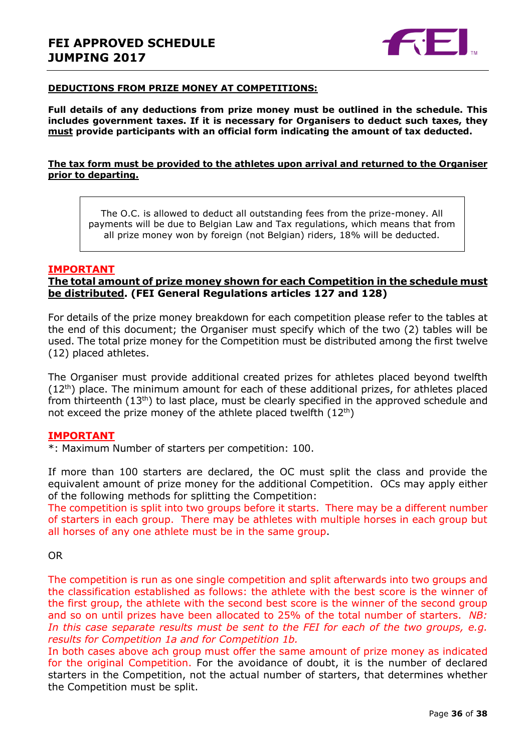

#### **DEDUCTIONS FROM PRIZE MONEY AT COMPETITIONS:**

**Full details of any deductions from prize money must be outlined in the schedule. This includes government taxes. If it is necessary for Organisers to deduct such taxes, they must provide participants with an official form indicating the amount of tax deducted.** 

#### **The tax form must be provided to the athletes upon arrival and returned to the Organiser prior to departing.**

The O.C. is allowed to deduct all outstanding fees from the prize-money. All payments will be due to Belgian Law and Tax regulations, which means that from all prize money won by foreign (not Belgian) riders, 18% will be deducted.

#### **IMPORTANT**

#### **The total amount of prize money shown for each Competition in the schedule must be distributed. (FEI General Regulations articles 127 and 128)**

For details of the prize money breakdown for each competition please refer to the tables at the end of this document; the Organiser must specify which of the two (2) tables will be used. The total prize money for the Competition must be distributed among the first twelve (12) placed athletes.

The Organiser must provide additional created prizes for athletes placed beyond twelfth  $(12<sup>th</sup>)$  place. The minimum amount for each of these additional prizes, for athletes placed from thirteenth  $(13<sup>th</sup>)$  to last place, must be clearly specified in the approved schedule and not exceed the prize money of the athlete placed twelfth  $(12<sup>th</sup>)$ 

#### **IMPORTANT**

\*: Maximum Number of starters per competition: 100.

If more than 100 starters are declared, the OC must split the class and provide the equivalent amount of prize money for the additional Competition. OCs may apply either of the following methods for splitting the Competition:

The competition is split into two groups before it starts. There may be a different number of starters in each group. There may be athletes with multiple horses in each group but all horses of any one athlete must be in the same group.

OR

The competition is run as one single competition and split afterwards into two groups and the classification established as follows: the athlete with the best score is the winner of the first group, the athlete with the second best score is the winner of the second group and so on until prizes have been allocated to 25% of the total number of starters. *NB:*  In this case separate results must be sent to the FEI for each of the two groups, e.g. *results for Competition 1a and for Competition 1b.*

In both cases above ach group must offer the same amount of prize money as indicated for the original Competition. For the avoidance of doubt, it is the number of declared starters in the Competition, not the actual number of starters, that determines whether the Competition must be split.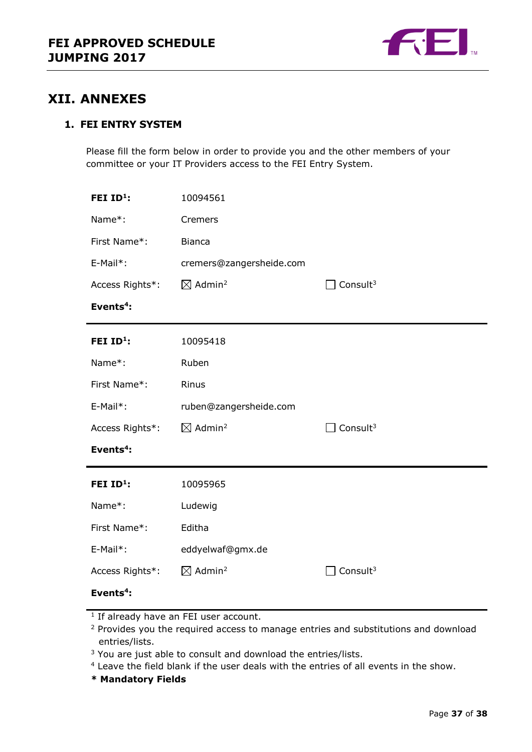

### <span id="page-36-0"></span>**XII. ANNEXES**

### **1. FEI ENTRY SYSTEM**

Please fill the form below in order to provide you and the other members of your committee or your IT Providers access to the FEI Entry System.

| FEI ID <sup>1</sup> : | 10094561                       |                             |
|-----------------------|--------------------------------|-----------------------------|
| Name*:                | Cremers                        |                             |
| First Name*:          | <b>Bianca</b>                  |                             |
| E-Mail*:              | cremers@zangersheide.com       |                             |
| Access Rights*:       | $\boxtimes$ Admin <sup>2</sup> | $\Box$ Consult <sup>3</sup> |
| Events <sup>4</sup> : |                                |                             |
| FEI ID <sup>1</sup> : | 10095418                       |                             |
| Name*:                | Ruben                          |                             |
| First Name*:          | Rinus                          |                             |
| E-Mail*:              | ruben@zangersheide.com         |                             |
| Access Rights*:       | $\boxtimes$ Admin <sup>2</sup> | Consult <sup>3</sup>        |
| Events <sup>4</sup> : |                                |                             |
| FEI ID <sup>1</sup> : | 10095965                       |                             |
| Name*:                | Ludewig                        |                             |
| First Name*:          | Editha                         |                             |
| E-Mail*:              | eddyelwaf@gmx.de               |                             |
| Access Rights*:       | $\boxtimes$ Admin <sup>2</sup> | Consult $3$                 |
| Events $4$ :          |                                |                             |

**\* Mandatory Fields**

<sup>&</sup>lt;sup>1</sup> If already have an FEI user account.

<sup>&</sup>lt;sup>2</sup> Provides you the required access to manage entries and substitutions and download entries/lists.

<sup>&</sup>lt;sup>3</sup> You are just able to consult and download the entries/lists.

<sup>4</sup> Leave the field blank if the user deals with the entries of all events in the show.